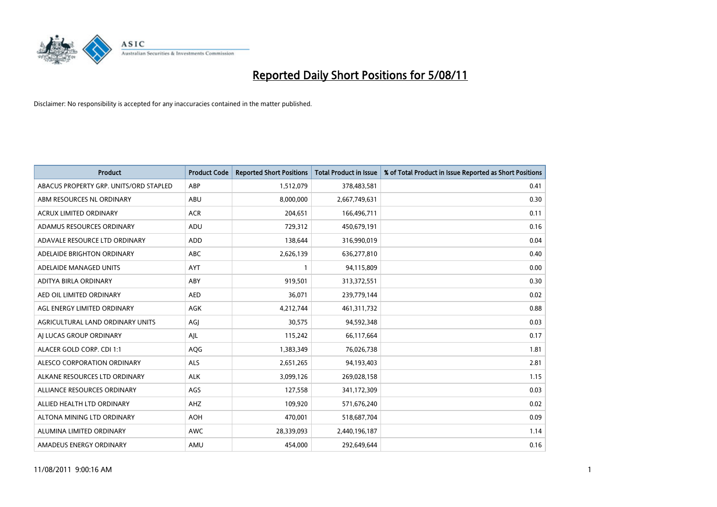

| <b>Product</b>                         | <b>Product Code</b> | <b>Reported Short Positions</b> | <b>Total Product in Issue</b> | % of Total Product in Issue Reported as Short Positions |
|----------------------------------------|---------------------|---------------------------------|-------------------------------|---------------------------------------------------------|
| ABACUS PROPERTY GRP. UNITS/ORD STAPLED | ABP                 | 1,512,079                       | 378,483,581                   | 0.41                                                    |
| ABM RESOURCES NL ORDINARY              | ABU                 | 8,000,000                       | 2,667,749,631                 | 0.30                                                    |
| <b>ACRUX LIMITED ORDINARY</b>          | <b>ACR</b>          | 204,651                         | 166,496,711                   | 0.11                                                    |
| ADAMUS RESOURCES ORDINARY              | ADU                 | 729,312                         | 450,679,191                   | 0.16                                                    |
| ADAVALE RESOURCE LTD ORDINARY          | <b>ADD</b>          | 138,644                         | 316,990,019                   | 0.04                                                    |
| ADELAIDE BRIGHTON ORDINARY             | <b>ABC</b>          | 2,626,139                       | 636,277,810                   | 0.40                                                    |
| ADELAIDE MANAGED UNITS                 | <b>AYT</b>          |                                 | 94,115,809                    | 0.00                                                    |
| ADITYA BIRLA ORDINARY                  | ABY                 | 919,501                         | 313,372,551                   | 0.30                                                    |
| AED OIL LIMITED ORDINARY               | <b>AED</b>          | 36,071                          | 239,779,144                   | 0.02                                                    |
| AGL ENERGY LIMITED ORDINARY            | <b>AGK</b>          | 4,212,744                       | 461,311,732                   | 0.88                                                    |
| AGRICULTURAL LAND ORDINARY UNITS       | AGJ                 | 30,575                          | 94,592,348                    | 0.03                                                    |
| AJ LUCAS GROUP ORDINARY                | AIL                 | 115,242                         | 66,117,664                    | 0.17                                                    |
| ALACER GOLD CORP. CDI 1:1              | AQG                 | 1,383,349                       | 76,026,738                    | 1.81                                                    |
| ALESCO CORPORATION ORDINARY            | ALS                 | 2,651,265                       | 94,193,403                    | 2.81                                                    |
| ALKANE RESOURCES LTD ORDINARY          | <b>ALK</b>          | 3,099,126                       | 269,028,158                   | 1.15                                                    |
| ALLIANCE RESOURCES ORDINARY            | AGS                 | 127,558                         | 341,172,309                   | 0.03                                                    |
| ALLIED HEALTH LTD ORDINARY             | <b>AHZ</b>          | 109,920                         | 571,676,240                   | 0.02                                                    |
| ALTONA MINING LTD ORDINARY             | <b>AOH</b>          | 470,001                         | 518,687,704                   | 0.09                                                    |
| ALUMINA LIMITED ORDINARY               | <b>AWC</b>          | 28,339,093                      | 2,440,196,187                 | 1.14                                                    |
| AMADEUS ENERGY ORDINARY                | AMU                 | 454,000                         | 292,649,644                   | 0.16                                                    |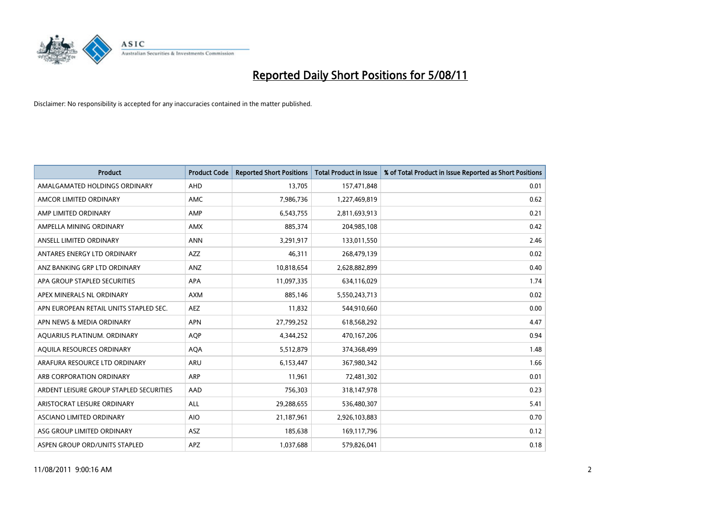

| <b>Product</b>                          | <b>Product Code</b> | <b>Reported Short Positions</b> | <b>Total Product in Issue</b> | % of Total Product in Issue Reported as Short Positions |
|-----------------------------------------|---------------------|---------------------------------|-------------------------------|---------------------------------------------------------|
| AMALGAMATED HOLDINGS ORDINARY           | AHD                 | 13,705                          | 157,471,848                   | 0.01                                                    |
| AMCOR LIMITED ORDINARY                  | <b>AMC</b>          | 7,986,736                       | 1,227,469,819                 | 0.62                                                    |
| AMP LIMITED ORDINARY                    | AMP                 | 6,543,755                       | 2,811,693,913                 | 0.21                                                    |
| AMPELLA MINING ORDINARY                 | <b>AMX</b>          | 885,374                         | 204,985,108                   | 0.42                                                    |
| ANSELL LIMITED ORDINARY                 | <b>ANN</b>          | 3,291,917                       | 133,011,550                   | 2.46                                                    |
| ANTARES ENERGY LTD ORDINARY             | <b>AZZ</b>          | 46,311                          | 268,479,139                   | 0.02                                                    |
| ANZ BANKING GRP LTD ORDINARY            | ANZ                 | 10,818,654                      | 2,628,882,899                 | 0.40                                                    |
| APA GROUP STAPLED SECURITIES            | <b>APA</b>          | 11,097,335                      | 634,116,029                   | 1.74                                                    |
| APEX MINERALS NL ORDINARY               | <b>AXM</b>          | 885,146                         | 5,550,243,713                 | 0.02                                                    |
| APN EUROPEAN RETAIL UNITS STAPLED SEC.  | <b>AEZ</b>          | 11,832                          | 544,910,660                   | 0.00                                                    |
| APN NEWS & MEDIA ORDINARY               | <b>APN</b>          | 27,799,252                      | 618,568,292                   | 4.47                                                    |
| AQUARIUS PLATINUM. ORDINARY             | <b>AOP</b>          | 4,344,252                       | 470,167,206                   | 0.94                                                    |
| AQUILA RESOURCES ORDINARY               | <b>AQA</b>          | 5,512,879                       | 374,368,499                   | 1.48                                                    |
| ARAFURA RESOURCE LTD ORDINARY           | <b>ARU</b>          | 6,153,447                       | 367,980,342                   | 1.66                                                    |
| ARB CORPORATION ORDINARY                | <b>ARP</b>          | 11,961                          | 72,481,302                    | 0.01                                                    |
| ARDENT LEISURE GROUP STAPLED SECURITIES | AAD                 | 756,303                         | 318,147,978                   | 0.23                                                    |
| ARISTOCRAT LEISURE ORDINARY             | <b>ALL</b>          | 29,288,655                      | 536,480,307                   | 5.41                                                    |
| ASCIANO LIMITED ORDINARY                | <b>AIO</b>          | 21,187,961                      | 2,926,103,883                 | 0.70                                                    |
| ASG GROUP LIMITED ORDINARY              | <b>ASZ</b>          | 185,638                         | 169,117,796                   | 0.12                                                    |
| ASPEN GROUP ORD/UNITS STAPLED           | APZ                 | 1,037,688                       | 579,826,041                   | 0.18                                                    |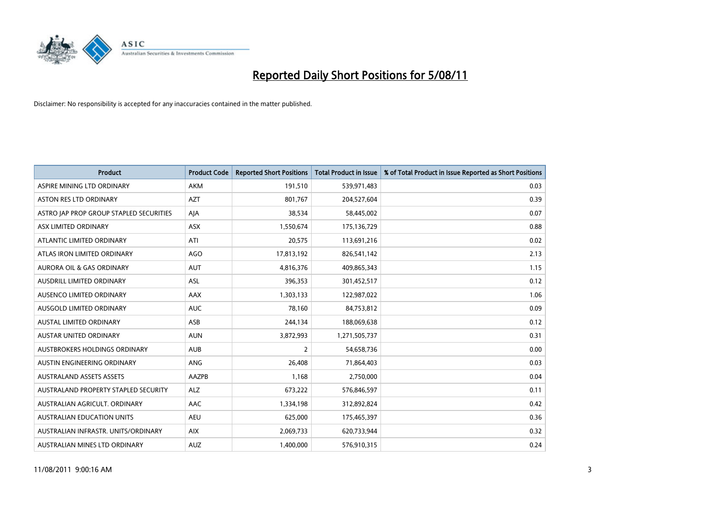

| <b>Product</b>                          | <b>Product Code</b> | <b>Reported Short Positions</b> | <b>Total Product in Issue</b> | % of Total Product in Issue Reported as Short Positions |
|-----------------------------------------|---------------------|---------------------------------|-------------------------------|---------------------------------------------------------|
| ASPIRE MINING LTD ORDINARY              | <b>AKM</b>          | 191,510                         | 539,971,483                   | 0.03                                                    |
| <b>ASTON RES LTD ORDINARY</b>           | <b>AZT</b>          | 801,767                         | 204,527,604                   | 0.39                                                    |
| ASTRO JAP PROP GROUP STAPLED SECURITIES | AJA                 | 38,534                          | 58,445,002                    | 0.07                                                    |
| ASX LIMITED ORDINARY                    | <b>ASX</b>          | 1,550,674                       | 175,136,729                   | 0.88                                                    |
| ATLANTIC LIMITED ORDINARY               | ATI                 | 20,575                          | 113,691,216                   | 0.02                                                    |
| ATLAS IRON LIMITED ORDINARY             | <b>AGO</b>          | 17,813,192                      | 826,541,142                   | 2.13                                                    |
| <b>AURORA OIL &amp; GAS ORDINARY</b>    | <b>AUT</b>          | 4,816,376                       | 409,865,343                   | 1.15                                                    |
| <b>AUSDRILL LIMITED ORDINARY</b>        | <b>ASL</b>          | 396,353                         | 301,452,517                   | 0.12                                                    |
| AUSENCO LIMITED ORDINARY                | <b>AAX</b>          | 1,303,133                       | 122,987,022                   | 1.06                                                    |
| AUSGOLD LIMITED ORDINARY                | <b>AUC</b>          | 78.160                          | 84,753,812                    | 0.09                                                    |
| AUSTAL LIMITED ORDINARY                 | ASB                 | 244,134                         | 188,069,638                   | 0.12                                                    |
| <b>AUSTAR UNITED ORDINARY</b>           | <b>AUN</b>          | 3,872,993                       | 1,271,505,737                 | 0.31                                                    |
| AUSTBROKERS HOLDINGS ORDINARY           | <b>AUB</b>          | $\overline{2}$                  | 54,658,736                    | 0.00                                                    |
| AUSTIN ENGINEERING ORDINARY             | ANG                 | 26.408                          | 71,864,403                    | 0.03                                                    |
| <b>AUSTRALAND ASSETS ASSETS</b>         | AAZPB               | 1,168                           | 2,750,000                     | 0.04                                                    |
| AUSTRALAND PROPERTY STAPLED SECURITY    | <b>ALZ</b>          | 673,222                         | 576,846,597                   | 0.11                                                    |
| AUSTRALIAN AGRICULT, ORDINARY           | AAC                 | 1,334,198                       | 312,892,824                   | 0.42                                                    |
| AUSTRALIAN EDUCATION UNITS              | <b>AEU</b>          | 625,000                         | 175,465,397                   | 0.36                                                    |
| AUSTRALIAN INFRASTR, UNITS/ORDINARY     | <b>AIX</b>          | 2,069,733                       | 620,733,944                   | 0.32                                                    |
| AUSTRALIAN MINES LTD ORDINARY           | <b>AUZ</b>          | 1,400,000                       | 576,910,315                   | 0.24                                                    |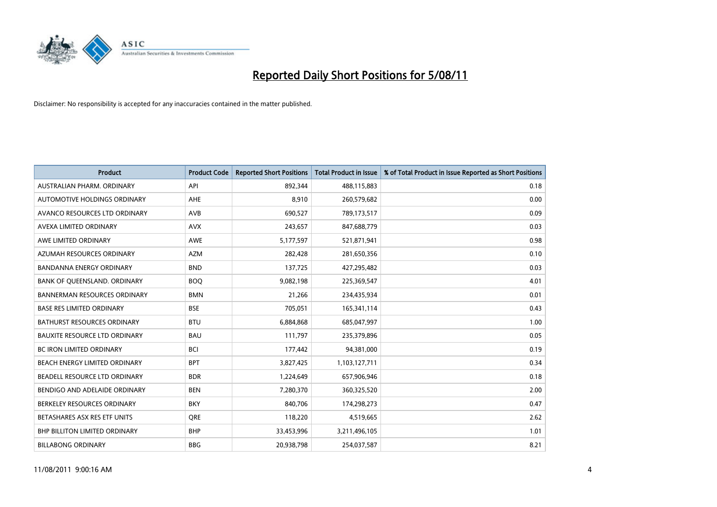

| <b>Product</b>                       | <b>Product Code</b> | <b>Reported Short Positions</b> | <b>Total Product in Issue</b> | % of Total Product in Issue Reported as Short Positions |
|--------------------------------------|---------------------|---------------------------------|-------------------------------|---------------------------------------------------------|
| AUSTRALIAN PHARM, ORDINARY           | API                 | 892,344                         | 488,115,883                   | 0.18                                                    |
| AUTOMOTIVE HOLDINGS ORDINARY         | AHE                 | 8,910                           | 260,579,682                   | 0.00                                                    |
| AVANCO RESOURCES LTD ORDINARY        | <b>AVB</b>          | 690,527                         | 789,173,517                   | 0.09                                                    |
| AVEXA LIMITED ORDINARY               | <b>AVX</b>          | 243,657                         | 847,688,779                   | 0.03                                                    |
| AWE LIMITED ORDINARY                 | AWE                 | 5,177,597                       | 521,871,941                   | 0.98                                                    |
| AZUMAH RESOURCES ORDINARY            | <b>AZM</b>          | 282,428                         | 281,650,356                   | 0.10                                                    |
| <b>BANDANNA ENERGY ORDINARY</b>      | <b>BND</b>          | 137,725                         | 427,295,482                   | 0.03                                                    |
| BANK OF QUEENSLAND. ORDINARY         | <b>BOO</b>          | 9,082,198                       | 225,369,547                   | 4.01                                                    |
| <b>BANNERMAN RESOURCES ORDINARY</b>  | <b>BMN</b>          | 21,266                          | 234,435,934                   | 0.01                                                    |
| <b>BASE RES LIMITED ORDINARY</b>     | <b>BSE</b>          | 705,051                         | 165,341,114                   | 0.43                                                    |
| BATHURST RESOURCES ORDINARY          | <b>BTU</b>          | 6,884,868                       | 685,047,997                   | 1.00                                                    |
| <b>BAUXITE RESOURCE LTD ORDINARY</b> | <b>BAU</b>          | 111,797                         | 235,379,896                   | 0.05                                                    |
| <b>BC IRON LIMITED ORDINARY</b>      | <b>BCI</b>          | 177,442                         | 94,381,000                    | 0.19                                                    |
| BEACH ENERGY LIMITED ORDINARY        | <b>BPT</b>          | 3,827,425                       | 1,103,127,711                 | 0.34                                                    |
| BEADELL RESOURCE LTD ORDINARY        | <b>BDR</b>          | 1,224,649                       | 657,906,946                   | 0.18                                                    |
| BENDIGO AND ADELAIDE ORDINARY        | <b>BEN</b>          | 7,280,370                       | 360,325,520                   | 2.00                                                    |
| BERKELEY RESOURCES ORDINARY          | <b>BKY</b>          | 840,706                         | 174,298,273                   | 0.47                                                    |
| BETASHARES ASX RES ETF UNITS         | <b>ORE</b>          | 118,220                         | 4,519,665                     | 2.62                                                    |
| <b>BHP BILLITON LIMITED ORDINARY</b> | <b>BHP</b>          | 33,453,996                      | 3,211,496,105                 | 1.01                                                    |
| <b>BILLABONG ORDINARY</b>            | <b>BBG</b>          | 20,938,798                      | 254,037,587                   | 8.21                                                    |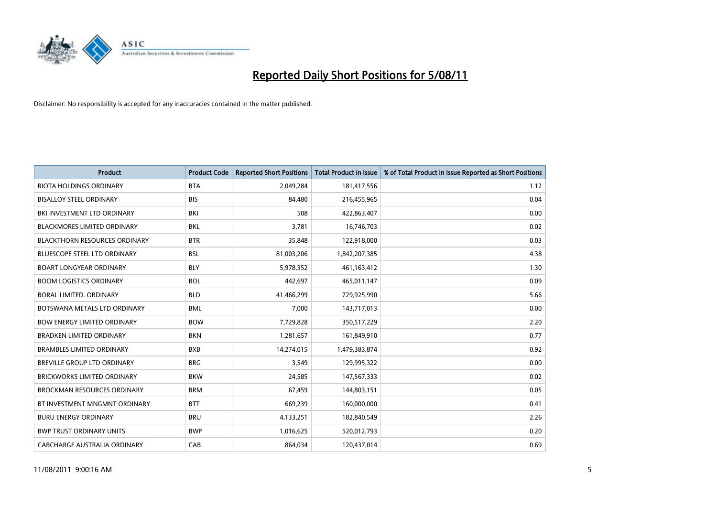

| <b>Product</b>                       | <b>Product Code</b> | <b>Reported Short Positions</b> | Total Product in Issue | % of Total Product in Issue Reported as Short Positions |
|--------------------------------------|---------------------|---------------------------------|------------------------|---------------------------------------------------------|
| <b>BIOTA HOLDINGS ORDINARY</b>       | <b>BTA</b>          | 2,049,284                       | 181,417,556            | 1.12                                                    |
| <b>BISALLOY STEEL ORDINARY</b>       | <b>BIS</b>          | 84,480                          | 216,455,965            | 0.04                                                    |
| BKI INVESTMENT LTD ORDINARY          | BKI                 | 508                             | 422,863,407            | 0.00                                                    |
| <b>BLACKMORES LIMITED ORDINARY</b>   | <b>BKL</b>          | 3,781                           | 16,746,703             | 0.02                                                    |
| <b>BLACKTHORN RESOURCES ORDINARY</b> | <b>BTR</b>          | 35,848                          | 122,918,000            | 0.03                                                    |
| <b>BLUESCOPE STEEL LTD ORDINARY</b>  | <b>BSL</b>          | 81,003,206                      | 1,842,207,385          | 4.38                                                    |
| <b>BOART LONGYEAR ORDINARY</b>       | <b>BLY</b>          | 5,978,352                       | 461,163,412            | 1.30                                                    |
| <b>BOOM LOGISTICS ORDINARY</b>       | <b>BOL</b>          | 442,697                         | 465,011,147            | 0.09                                                    |
| BORAL LIMITED. ORDINARY              | <b>BLD</b>          | 41,466,299                      | 729,925,990            | 5.66                                                    |
| BOTSWANA METALS LTD ORDINARY         | <b>BML</b>          | 7,000                           | 143,717,013            | 0.00                                                    |
| <b>BOW ENERGY LIMITED ORDINARY</b>   | <b>BOW</b>          | 7,729,828                       | 350,517,229            | 2.20                                                    |
| <b>BRADKEN LIMITED ORDINARY</b>      | <b>BKN</b>          | 1,281,657                       | 161,849,910            | 0.77                                                    |
| <b>BRAMBLES LIMITED ORDINARY</b>     | <b>BXB</b>          | 14,274,015                      | 1,479,383,874          | 0.92                                                    |
| <b>BREVILLE GROUP LTD ORDINARY</b>   | <b>BRG</b>          | 3,549                           | 129,995,322            | 0.00                                                    |
| <b>BRICKWORKS LIMITED ORDINARY</b>   | <b>BKW</b>          | 24,585                          | 147,567,333            | 0.02                                                    |
| <b>BROCKMAN RESOURCES ORDINARY</b>   | <b>BRM</b>          | 67,459                          | 144,803,151            | 0.05                                                    |
| BT INVESTMENT MNGMNT ORDINARY        | <b>BTT</b>          | 669,239                         | 160,000,000            | 0.41                                                    |
| <b>BURU ENERGY ORDINARY</b>          | <b>BRU</b>          | 4,133,251                       | 182,840,549            | 2.26                                                    |
| <b>BWP TRUST ORDINARY UNITS</b>      | <b>BWP</b>          | 1,016,625                       | 520,012,793            | 0.20                                                    |
| CABCHARGE AUSTRALIA ORDINARY         | CAB                 | 864,034                         | 120,437,014            | 0.69                                                    |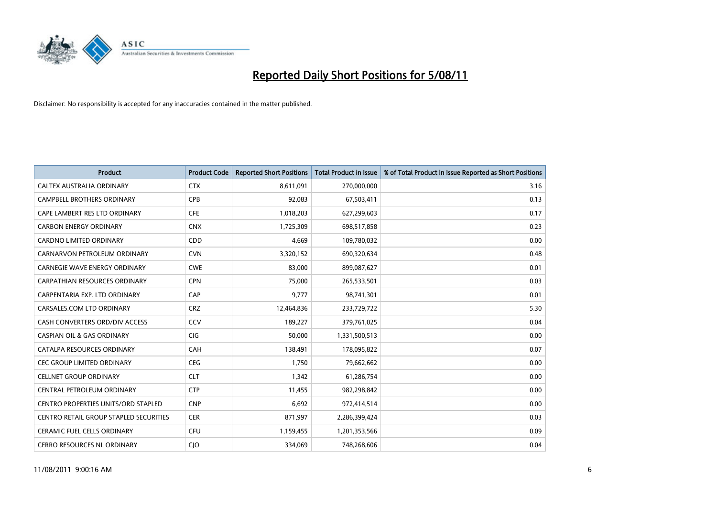

| <b>Product</b>                             | <b>Product Code</b> | <b>Reported Short Positions</b> | <b>Total Product in Issue</b> | % of Total Product in Issue Reported as Short Positions |
|--------------------------------------------|---------------------|---------------------------------|-------------------------------|---------------------------------------------------------|
| CALTEX AUSTRALIA ORDINARY                  | <b>CTX</b>          | 8,611,091                       | 270,000,000                   | 3.16                                                    |
| <b>CAMPBELL BROTHERS ORDINARY</b>          | <b>CPB</b>          | 92,083                          | 67,503,411                    | 0.13                                                    |
| CAPE LAMBERT RES LTD ORDINARY              | <b>CFE</b>          | 1,018,203                       | 627,299,603                   | 0.17                                                    |
| <b>CARBON ENERGY ORDINARY</b>              | <b>CNX</b>          | 1,725,309                       | 698,517,858                   | 0.23                                                    |
| <b>CARDNO LIMITED ORDINARY</b>             | CDD                 | 4,669                           | 109,780,032                   | 0.00                                                    |
| CARNARVON PETROLEUM ORDINARY               | <b>CVN</b>          | 3,320,152                       | 690,320,634                   | 0.48                                                    |
| <b>CARNEGIE WAVE ENERGY ORDINARY</b>       | <b>CWE</b>          | 83.000                          | 899,087,627                   | 0.01                                                    |
| <b>CARPATHIAN RESOURCES ORDINARY</b>       | <b>CPN</b>          | 75.000                          | 265,533,501                   | 0.03                                                    |
| CARPENTARIA EXP. LTD ORDINARY              | CAP                 | 9,777                           | 98,741,301                    | 0.01                                                    |
| CARSALES.COM LTD ORDINARY                  | <b>CRZ</b>          | 12,464,836                      | 233,729,722                   | 5.30                                                    |
| CASH CONVERTERS ORD/DIV ACCESS             | CCV                 | 189,227                         | 379,761,025                   | 0.04                                                    |
| <b>CASPIAN OIL &amp; GAS ORDINARY</b>      | <b>CIG</b>          | 50,000                          | 1,331,500,513                 | 0.00                                                    |
| CATALPA RESOURCES ORDINARY                 | CAH                 | 138,491                         | 178,095,822                   | 0.07                                                    |
| <b>CEC GROUP LIMITED ORDINARY</b>          | <b>CEG</b>          | 1.750                           | 79,662,662                    | 0.00                                                    |
| <b>CELLNET GROUP ORDINARY</b>              | <b>CLT</b>          | 1,342                           | 61,286,754                    | 0.00                                                    |
| CENTRAL PETROLEUM ORDINARY                 | <b>CTP</b>          | 11,455                          | 982,298,842                   | 0.00                                                    |
| <b>CENTRO PROPERTIES UNITS/ORD STAPLED</b> | <b>CNP</b>          | 6,692                           | 972,414,514                   | 0.00                                                    |
| CENTRO RETAIL GROUP STAPLED SECURITIES     | <b>CER</b>          | 871,997                         | 2,286,399,424                 | 0.03                                                    |
| <b>CERAMIC FUEL CELLS ORDINARY</b>         | <b>CFU</b>          | 1,159,455                       | 1,201,353,566                 | 0.09                                                    |
| <b>CERRO RESOURCES NL ORDINARY</b>         | <b>CIO</b>          | 334.069                         | 748,268,606                   | 0.04                                                    |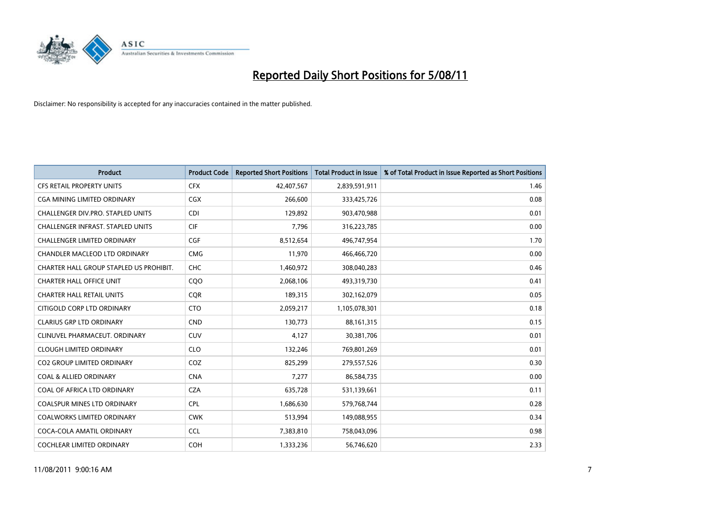

| <b>Product</b>                          | <b>Product Code</b> | <b>Reported Short Positions</b> | <b>Total Product in Issue</b> | % of Total Product in Issue Reported as Short Positions |
|-----------------------------------------|---------------------|---------------------------------|-------------------------------|---------------------------------------------------------|
| <b>CFS RETAIL PROPERTY UNITS</b>        | <b>CFX</b>          | 42,407,567                      | 2,839,591,911                 | 1.46                                                    |
| CGA MINING LIMITED ORDINARY             | <b>CGX</b>          | 266,600                         | 333,425,726                   | 0.08                                                    |
| CHALLENGER DIV.PRO. STAPLED UNITS       | <b>CDI</b>          | 129,892                         | 903,470,988                   | 0.01                                                    |
| CHALLENGER INFRAST. STAPLED UNITS       | <b>CIF</b>          | 7,796                           | 316,223,785                   | 0.00                                                    |
| <b>CHALLENGER LIMITED ORDINARY</b>      | <b>CGF</b>          | 8,512,654                       | 496,747,954                   | 1.70                                                    |
| CHANDLER MACLEOD LTD ORDINARY           | <b>CMG</b>          | 11,970                          | 466,466,720                   | 0.00                                                    |
| CHARTER HALL GROUP STAPLED US PROHIBIT. | <b>CHC</b>          | 1,460,972                       | 308,040,283                   | 0.46                                                    |
| <b>CHARTER HALL OFFICE UNIT</b>         | CQO                 | 2,068,106                       | 493,319,730                   | 0.41                                                    |
| <b>CHARTER HALL RETAIL UNITS</b>        | <b>COR</b>          | 189,315                         | 302,162,079                   | 0.05                                                    |
| CITIGOLD CORP LTD ORDINARY              | <b>CTO</b>          | 2,059,217                       | 1,105,078,301                 | 0.18                                                    |
| <b>CLARIUS GRP LTD ORDINARY</b>         | <b>CND</b>          | 130,773                         | 88, 161, 315                  | 0.15                                                    |
| CLINUVEL PHARMACEUT, ORDINARY           | <b>CUV</b>          | 4,127                           | 30,381,706                    | 0.01                                                    |
| <b>CLOUGH LIMITED ORDINARY</b>          | <b>CLO</b>          | 132,246                         | 769,801,269                   | 0.01                                                    |
| <b>CO2 GROUP LIMITED ORDINARY</b>       | COZ                 | 825,299                         | 279,557,526                   | 0.30                                                    |
| <b>COAL &amp; ALLIED ORDINARY</b>       | <b>CNA</b>          | 7,277                           | 86,584,735                    | 0.00                                                    |
| COAL OF AFRICA LTD ORDINARY             | <b>CZA</b>          | 635,728                         | 531,139,661                   | 0.11                                                    |
| <b>COALSPUR MINES LTD ORDINARY</b>      | <b>CPL</b>          | 1,686,630                       | 579,768,744                   | 0.28                                                    |
| COALWORKS LIMITED ORDINARY              | <b>CWK</b>          | 513,994                         | 149,088,955                   | 0.34                                                    |
| COCA-COLA AMATIL ORDINARY               | <b>CCL</b>          | 7,383,810                       | 758,043,096                   | 0.98                                                    |
| COCHLEAR LIMITED ORDINARY               | <b>COH</b>          | 1,333,236                       | 56,746,620                    | 2.33                                                    |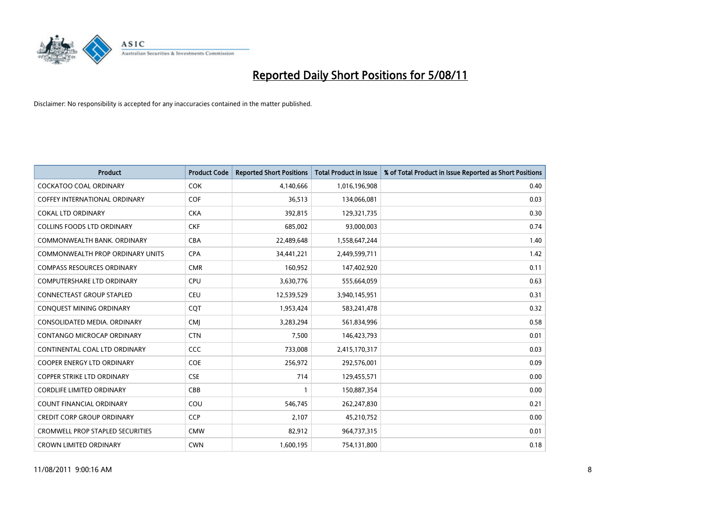

| <b>Product</b>                          | <b>Product Code</b> | <b>Reported Short Positions</b> | <b>Total Product in Issue</b> | % of Total Product in Issue Reported as Short Positions |
|-----------------------------------------|---------------------|---------------------------------|-------------------------------|---------------------------------------------------------|
| <b>COCKATOO COAL ORDINARY</b>           | <b>COK</b>          | 4,140,666                       | 1,016,196,908                 | 0.40                                                    |
| <b>COFFEY INTERNATIONAL ORDINARY</b>    | <b>COF</b>          | 36,513                          | 134,066,081                   | 0.03                                                    |
| <b>COKAL LTD ORDINARY</b>               | <b>CKA</b>          | 392,815                         | 129,321,735                   | 0.30                                                    |
| <b>COLLINS FOODS LTD ORDINARY</b>       | <b>CKF</b>          | 685,002                         | 93,000,003                    | 0.74                                                    |
| COMMONWEALTH BANK, ORDINARY             | <b>CBA</b>          | 22,489,648                      | 1,558,647,244                 | 1.40                                                    |
| COMMONWEALTH PROP ORDINARY UNITS        | <b>CPA</b>          | 34,441,221                      | 2,449,599,711                 | 1.42                                                    |
| <b>COMPASS RESOURCES ORDINARY</b>       | <b>CMR</b>          | 160,952                         | 147,402,920                   | 0.11                                                    |
| <b>COMPUTERSHARE LTD ORDINARY</b>       | <b>CPU</b>          | 3,630,776                       | 555,664,059                   | 0.63                                                    |
| CONNECTEAST GROUP STAPLED               | <b>CEU</b>          | 12,539,529                      | 3,940,145,951                 | 0.31                                                    |
| <b>CONOUEST MINING ORDINARY</b>         | <b>COT</b>          | 1,953,424                       | 583,241,478                   | 0.32                                                    |
| CONSOLIDATED MEDIA, ORDINARY            | <b>CMI</b>          | 3,283,294                       | 561,834,996                   | 0.58                                                    |
| CONTANGO MICROCAP ORDINARY              | <b>CTN</b>          | 7,500                           | 146,423,793                   | 0.01                                                    |
| CONTINENTAL COAL LTD ORDINARY           | CCC                 | 733,008                         | 2,415,170,317                 | 0.03                                                    |
| <b>COOPER ENERGY LTD ORDINARY</b>       | <b>COE</b>          | 256,972                         | 292,576,001                   | 0.09                                                    |
| <b>COPPER STRIKE LTD ORDINARY</b>       | <b>CSE</b>          | 714                             | 129,455,571                   | 0.00                                                    |
| <b>CORDLIFE LIMITED ORDINARY</b>        | CBB                 |                                 | 150,887,354                   | 0.00                                                    |
| <b>COUNT FINANCIAL ORDINARY</b>         | COU                 | 546,745                         | 262,247,830                   | 0.21                                                    |
| <b>CREDIT CORP GROUP ORDINARY</b>       | <b>CCP</b>          | 2,107                           | 45,210,752                    | 0.00                                                    |
| <b>CROMWELL PROP STAPLED SECURITIES</b> | <b>CMW</b>          | 82,912                          | 964,737,315                   | 0.01                                                    |
| <b>CROWN LIMITED ORDINARY</b>           | <b>CWN</b>          | 1,600,195                       | 754,131,800                   | 0.18                                                    |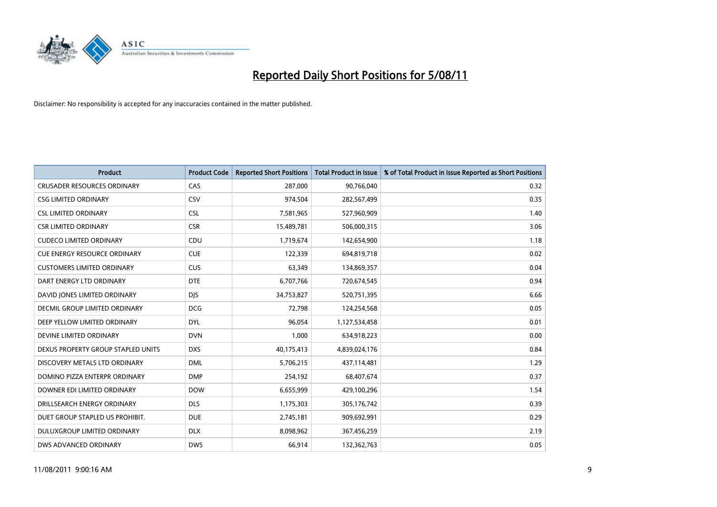

| <b>Product</b>                      | <b>Product Code</b> | <b>Reported Short Positions</b> | <b>Total Product in Issue</b> | % of Total Product in Issue Reported as Short Positions |
|-------------------------------------|---------------------|---------------------------------|-------------------------------|---------------------------------------------------------|
| <b>CRUSADER RESOURCES ORDINARY</b>  | CAS                 | 287,000                         | 90,766,040                    | 0.32                                                    |
| <b>CSG LIMITED ORDINARY</b>         | CSV                 | 974,504                         | 282,567,499                   | 0.35                                                    |
| <b>CSL LIMITED ORDINARY</b>         | <b>CSL</b>          | 7,581,965                       | 527,960,909                   | 1.40                                                    |
| <b>CSR LIMITED ORDINARY</b>         | <b>CSR</b>          | 15,489,781                      | 506,000,315                   | 3.06                                                    |
| <b>CUDECO LIMITED ORDINARY</b>      | CDU                 | 1,719,674                       | 142,654,900                   | 1.18                                                    |
| <b>CUE ENERGY RESOURCE ORDINARY</b> | <b>CUE</b>          | 122,339                         | 694,819,718                   | 0.02                                                    |
| <b>CUSTOMERS LIMITED ORDINARY</b>   | <b>CUS</b>          | 63,349                          | 134,869,357                   | 0.04                                                    |
| DART ENERGY LTD ORDINARY            | <b>DTE</b>          | 6,707,766                       | 720,674,545                   | 0.94                                                    |
| DAVID JONES LIMITED ORDINARY        | <b>DIS</b>          | 34,753,827                      | 520,751,395                   | 6.66                                                    |
| DECMIL GROUP LIMITED ORDINARY       | <b>DCG</b>          | 72,798                          | 124,254,568                   | 0.05                                                    |
| DEEP YELLOW LIMITED ORDINARY        | <b>DYL</b>          | 96,054                          | 1,127,534,458                 | 0.01                                                    |
| DEVINE LIMITED ORDINARY             | <b>DVN</b>          | 1,000                           | 634,918,223                   | 0.00                                                    |
| DEXUS PROPERTY GROUP STAPLED UNITS  | <b>DXS</b>          | 40,175,413                      | 4,839,024,176                 | 0.84                                                    |
| DISCOVERY METALS LTD ORDINARY       | <b>DML</b>          | 5,706,215                       | 437,114,481                   | 1.29                                                    |
| DOMINO PIZZA ENTERPR ORDINARY       | <b>DMP</b>          | 254,192                         | 68,407,674                    | 0.37                                                    |
| DOWNER EDI LIMITED ORDINARY         | <b>DOW</b>          | 6,655,999                       | 429,100,296                   | 1.54                                                    |
| DRILLSEARCH ENERGY ORDINARY         | <b>DLS</b>          | 1,175,303                       | 305,176,742                   | 0.39                                                    |
| DUET GROUP STAPLED US PROHIBIT.     | <b>DUE</b>          | 2,745,181                       | 909,692,991                   | 0.29                                                    |
| DULUXGROUP LIMITED ORDINARY         | <b>DLX</b>          | 8,098,962                       | 367,456,259                   | 2.19                                                    |
| DWS ADVANCED ORDINARY               | <b>DWS</b>          | 66,914                          | 132,362,763                   | 0.05                                                    |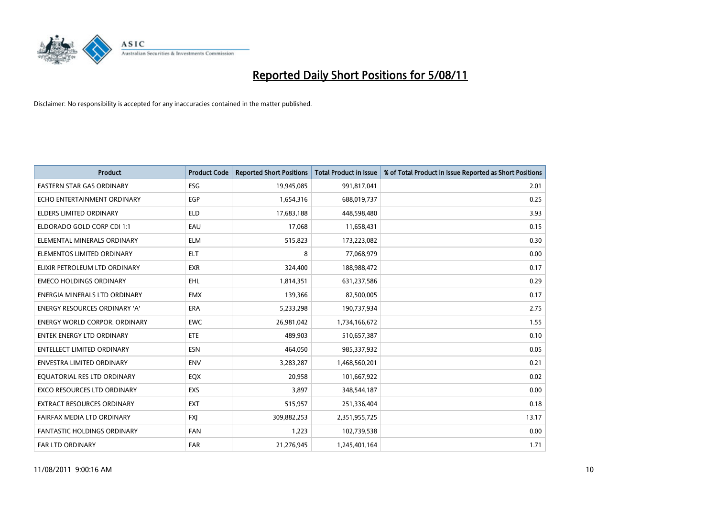

| <b>Product</b>                       | <b>Product Code</b> | <b>Reported Short Positions</b> | <b>Total Product in Issue</b> | % of Total Product in Issue Reported as Short Positions |
|--------------------------------------|---------------------|---------------------------------|-------------------------------|---------------------------------------------------------|
| <b>EASTERN STAR GAS ORDINARY</b>     | ESG                 | 19,945,085                      | 991,817,041                   | 2.01                                                    |
| ECHO ENTERTAINMENT ORDINARY          | <b>EGP</b>          | 1,654,316                       | 688,019,737                   | 0.25                                                    |
| <b>ELDERS LIMITED ORDINARY</b>       | <b>ELD</b>          | 17,683,188                      | 448,598,480                   | 3.93                                                    |
| ELDORADO GOLD CORP CDI 1:1           | EAU                 | 17,068                          | 11,658,431                    | 0.15                                                    |
| ELEMENTAL MINERALS ORDINARY          | <b>ELM</b>          | 515,823                         | 173,223,082                   | 0.30                                                    |
| ELEMENTOS LIMITED ORDINARY           | <b>ELT</b>          | 8                               | 77,068,979                    | 0.00                                                    |
| ELIXIR PETROLEUM LTD ORDINARY        | <b>EXR</b>          | 324,400                         | 188,988,472                   | 0.17                                                    |
| <b>EMECO HOLDINGS ORDINARY</b>       | <b>EHL</b>          | 1,814,351                       | 631,237,586                   | 0.29                                                    |
| ENERGIA MINERALS LTD ORDINARY        | <b>EMX</b>          | 139,366                         | 82,500,005                    | 0.17                                                    |
| <b>ENERGY RESOURCES ORDINARY 'A'</b> | ERA                 | 5,233,298                       | 190,737,934                   | 2.75                                                    |
| ENERGY WORLD CORPOR. ORDINARY        | <b>EWC</b>          | 26,981,042                      | 1,734,166,672                 | 1.55                                                    |
| <b>ENTEK ENERGY LTD ORDINARY</b>     | ETE                 | 489,903                         | 510,657,387                   | 0.10                                                    |
| <b>ENTELLECT LIMITED ORDINARY</b>    | <b>ESN</b>          | 464,050                         | 985,337,932                   | 0.05                                                    |
| <b>ENVESTRA LIMITED ORDINARY</b>     | <b>ENV</b>          | 3,283,287                       | 1,468,560,201                 | 0.21                                                    |
| EQUATORIAL RES LTD ORDINARY          | EQX                 | 20,958                          | 101,667,922                   | 0.02                                                    |
| EXCO RESOURCES LTD ORDINARY          | EXS                 | 3,897                           | 348,544,187                   | 0.00                                                    |
| EXTRACT RESOURCES ORDINARY           | <b>EXT</b>          | 515,957                         | 251,336,404                   | 0.18                                                    |
| FAIRFAX MEDIA LTD ORDINARY           | <b>FXI</b>          | 309,882,253                     | 2,351,955,725                 | 13.17                                                   |
| <b>FANTASTIC HOLDINGS ORDINARY</b>   | <b>FAN</b>          | 1,223                           | 102,739,538                   | 0.00                                                    |
| FAR LTD ORDINARY                     | <b>FAR</b>          | 21,276,945                      | 1,245,401,164                 | 1.71                                                    |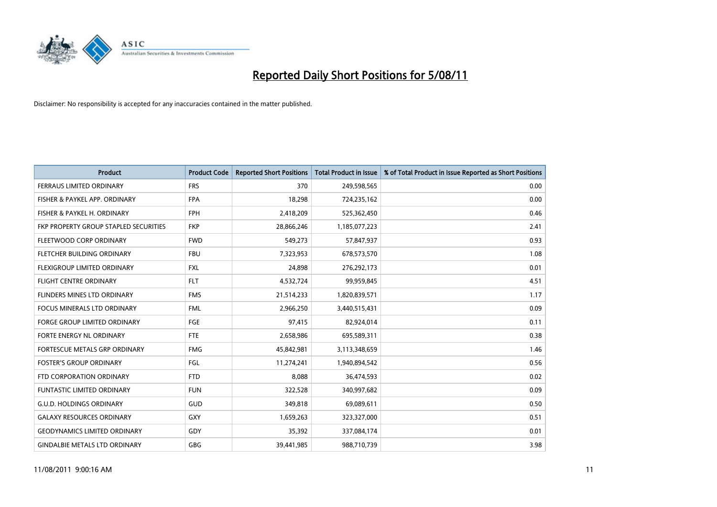

| <b>Product</b>                        | <b>Product Code</b> | <b>Reported Short Positions</b> | Total Product in Issue | % of Total Product in Issue Reported as Short Positions |
|---------------------------------------|---------------------|---------------------------------|------------------------|---------------------------------------------------------|
| FERRAUS LIMITED ORDINARY              | <b>FRS</b>          | 370                             | 249,598,565            | 0.00                                                    |
| FISHER & PAYKEL APP. ORDINARY         | <b>FPA</b>          | 18,298                          | 724,235,162            | 0.00                                                    |
| FISHER & PAYKEL H. ORDINARY           | <b>FPH</b>          | 2,418,209                       | 525,362,450            | 0.46                                                    |
| FKP PROPERTY GROUP STAPLED SECURITIES | <b>FKP</b>          | 28,866,246                      | 1,185,077,223          | 2.41                                                    |
| FLEETWOOD CORP ORDINARY               | <b>FWD</b>          | 549,273                         | 57,847,937             | 0.93                                                    |
| FLETCHER BUILDING ORDINARY            | <b>FBU</b>          | 7,323,953                       | 678,573,570            | 1.08                                                    |
| <b>FLEXIGROUP LIMITED ORDINARY</b>    | <b>FXL</b>          | 24,898                          | 276,292,173            | 0.01                                                    |
| <b>FLIGHT CENTRE ORDINARY</b>         | <b>FLT</b>          | 4,532,724                       | 99,959,845             | 4.51                                                    |
| FLINDERS MINES LTD ORDINARY           | <b>FMS</b>          | 21,514,233                      | 1,820,839,571          | 1.17                                                    |
| <b>FOCUS MINERALS LTD ORDINARY</b>    | <b>FML</b>          | 2,966,250                       | 3,440,515,431          | 0.09                                                    |
| <b>FORGE GROUP LIMITED ORDINARY</b>   | <b>FGE</b>          | 97,415                          | 82,924,014             | 0.11                                                    |
| FORTE ENERGY NL ORDINARY              | <b>FTE</b>          | 2,658,986                       | 695,589,311            | 0.38                                                    |
| FORTESCUE METALS GRP ORDINARY         | <b>FMG</b>          | 45,842,981                      | 3,113,348,659          | 1.46                                                    |
| <b>FOSTER'S GROUP ORDINARY</b>        | FGL                 | 11,274,241                      | 1,940,894,542          | 0.56                                                    |
| FTD CORPORATION ORDINARY              | <b>FTD</b>          | 8,088                           | 36,474,593             | 0.02                                                    |
| <b>FUNTASTIC LIMITED ORDINARY</b>     | <b>FUN</b>          | 322,528                         | 340,997,682            | 0.09                                                    |
| <b>G.U.D. HOLDINGS ORDINARY</b>       | <b>GUD</b>          | 349,818                         | 69,089,611             | 0.50                                                    |
| <b>GALAXY RESOURCES ORDINARY</b>      | GXY                 | 1,659,263                       | 323,327,000            | 0.51                                                    |
| <b>GEODYNAMICS LIMITED ORDINARY</b>   | GDY                 | 35,392                          | 337,084,174            | 0.01                                                    |
| <b>GINDALBIE METALS LTD ORDINARY</b>  | <b>GBG</b>          | 39,441,985                      | 988,710,739            | 3.98                                                    |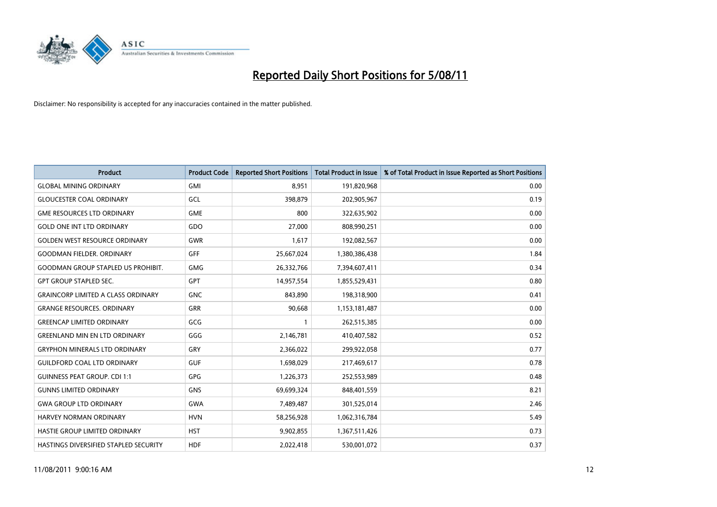

| <b>Product</b>                            | <b>Product Code</b> | <b>Reported Short Positions</b> | <b>Total Product in Issue</b> | % of Total Product in Issue Reported as Short Positions |
|-------------------------------------------|---------------------|---------------------------------|-------------------------------|---------------------------------------------------------|
| <b>GLOBAL MINING ORDINARY</b>             | <b>GMI</b>          | 8,951                           | 191,820,968                   | 0.00                                                    |
| <b>GLOUCESTER COAL ORDINARY</b>           | <b>GCL</b>          | 398.879                         | 202,905,967                   | 0.19                                                    |
| <b>GME RESOURCES LTD ORDINARY</b>         | <b>GME</b>          | 800                             | 322,635,902                   | 0.00                                                    |
| <b>GOLD ONE INT LTD ORDINARY</b>          | GDO                 | 27,000                          | 808,990,251                   | 0.00                                                    |
| <b>GOLDEN WEST RESOURCE ORDINARY</b>      | <b>GWR</b>          | 1,617                           | 192,082,567                   | 0.00                                                    |
| <b>GOODMAN FIELDER, ORDINARY</b>          | GFF                 | 25,667,024                      | 1,380,386,438                 | 1.84                                                    |
| <b>GOODMAN GROUP STAPLED US PROHIBIT.</b> | <b>GMG</b>          | 26,332,766                      | 7,394,607,411                 | 0.34                                                    |
| <b>GPT GROUP STAPLED SEC.</b>             | <b>GPT</b>          | 14,957,554                      | 1,855,529,431                 | 0.80                                                    |
| <b>GRAINCORP LIMITED A CLASS ORDINARY</b> | <b>GNC</b>          | 843,890                         | 198,318,900                   | 0.41                                                    |
| <b>GRANGE RESOURCES, ORDINARY</b>         | <b>GRR</b>          | 90,668                          | 1,153,181,487                 | 0.00                                                    |
| <b>GREENCAP LIMITED ORDINARY</b>          | GCG                 |                                 | 262,515,385                   | 0.00                                                    |
| <b>GREENLAND MIN EN LTD ORDINARY</b>      | GGG                 | 2,146,781                       | 410,407,582                   | 0.52                                                    |
| <b>GRYPHON MINERALS LTD ORDINARY</b>      | GRY                 | 2.366.022                       | 299,922,058                   | 0.77                                                    |
| <b>GUILDFORD COAL LTD ORDINARY</b>        | <b>GUF</b>          | 1,698,029                       | 217,469,617                   | 0.78                                                    |
| <b>GUINNESS PEAT GROUP. CDI 1:1</b>       | <b>GPG</b>          | 1,226,373                       | 252,553,989                   | 0.48                                                    |
| <b>GUNNS LIMITED ORDINARY</b>             | <b>GNS</b>          | 69,699,324                      | 848,401,559                   | 8.21                                                    |
| <b>GWA GROUP LTD ORDINARY</b>             | <b>GWA</b>          | 7,489,487                       | 301,525,014                   | 2.46                                                    |
| HARVEY NORMAN ORDINARY                    | <b>HVN</b>          | 58,256,928                      | 1,062,316,784                 | 5.49                                                    |
| HASTIE GROUP LIMITED ORDINARY             | <b>HST</b>          | 9,902,855                       | 1,367,511,426                 | 0.73                                                    |
| HASTINGS DIVERSIFIED STAPLED SECURITY     | <b>HDF</b>          | 2.022.418                       | 530,001,072                   | 0.37                                                    |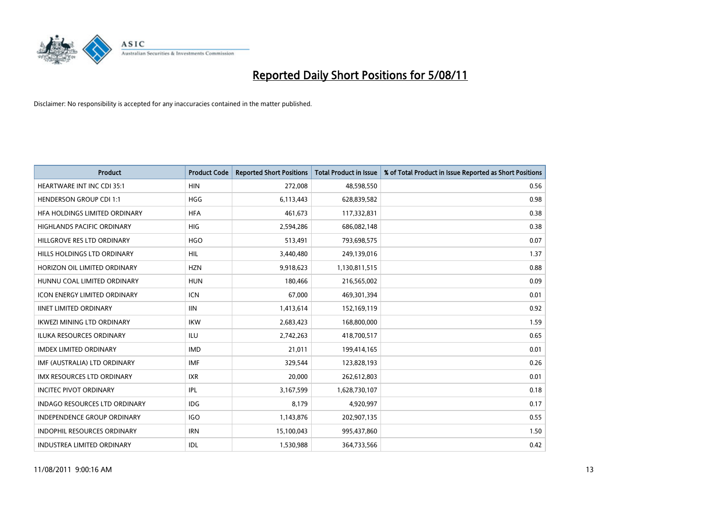

| <b>Product</b>                       | <b>Product Code</b> | <b>Reported Short Positions</b> | <b>Total Product in Issue</b> | % of Total Product in Issue Reported as Short Positions |
|--------------------------------------|---------------------|---------------------------------|-------------------------------|---------------------------------------------------------|
| <b>HEARTWARE INT INC CDI 35:1</b>    | <b>HIN</b>          | 272,008                         | 48,598,550                    | 0.56                                                    |
| <b>HENDERSON GROUP CDI 1:1</b>       | <b>HGG</b>          | 6,113,443                       | 628,839,582                   | 0.98                                                    |
| HEA HOLDINGS LIMITED ORDINARY        | <b>HFA</b>          | 461,673                         | 117,332,831                   | 0.38                                                    |
| HIGHLANDS PACIFIC ORDINARY           | <b>HIG</b>          | 2,594,286                       | 686,082,148                   | 0.38                                                    |
| HILLGROVE RES LTD ORDINARY           | <b>HGO</b>          | 513,491                         | 793,698,575                   | 0.07                                                    |
| HILLS HOLDINGS LTD ORDINARY          | <b>HIL</b>          | 3,440,480                       | 249,139,016                   | 1.37                                                    |
| HORIZON OIL LIMITED ORDINARY         | <b>HZN</b>          | 9,918,623                       | 1,130,811,515                 | 0.88                                                    |
| HUNNU COAL LIMITED ORDINARY          | <b>HUN</b>          | 180,466                         | 216,565,002                   | 0.09                                                    |
| ICON ENERGY LIMITED ORDINARY         | <b>ICN</b>          | 67,000                          | 469,301,394                   | 0.01                                                    |
| <b>IINET LIMITED ORDINARY</b>        | <b>IIN</b>          | 1,413,614                       | 152,169,119                   | 0.92                                                    |
| IKWEZI MINING LTD ORDINARY           | <b>IKW</b>          | 2,683,423                       | 168,800,000                   | 1.59                                                    |
| <b>ILUKA RESOURCES ORDINARY</b>      | <b>ILU</b>          | 2,742,263                       | 418,700,517                   | 0.65                                                    |
| <b>IMDEX LIMITED ORDINARY</b>        | <b>IMD</b>          | 21,011                          | 199,414,165                   | 0.01                                                    |
| IMF (AUSTRALIA) LTD ORDINARY         | <b>IMF</b>          | 329,544                         | 123,828,193                   | 0.26                                                    |
| <b>IMX RESOURCES LTD ORDINARY</b>    | <b>IXR</b>          | 20,000                          | 262,612,803                   | 0.01                                                    |
| <b>INCITEC PIVOT ORDINARY</b>        | <b>IPL</b>          | 3,167,599                       | 1,628,730,107                 | 0.18                                                    |
| <b>INDAGO RESOURCES LTD ORDINARY</b> | <b>IDG</b>          | 8,179                           | 4,920,997                     | 0.17                                                    |
| INDEPENDENCE GROUP ORDINARY          | <b>IGO</b>          | 1,143,876                       | 202,907,135                   | 0.55                                                    |
| <b>INDOPHIL RESOURCES ORDINARY</b>   | <b>IRN</b>          | 15,100,043                      | 995,437,860                   | 1.50                                                    |
| <b>INDUSTREA LIMITED ORDINARY</b>    | IDL                 | 1,530,988                       | 364,733,566                   | 0.42                                                    |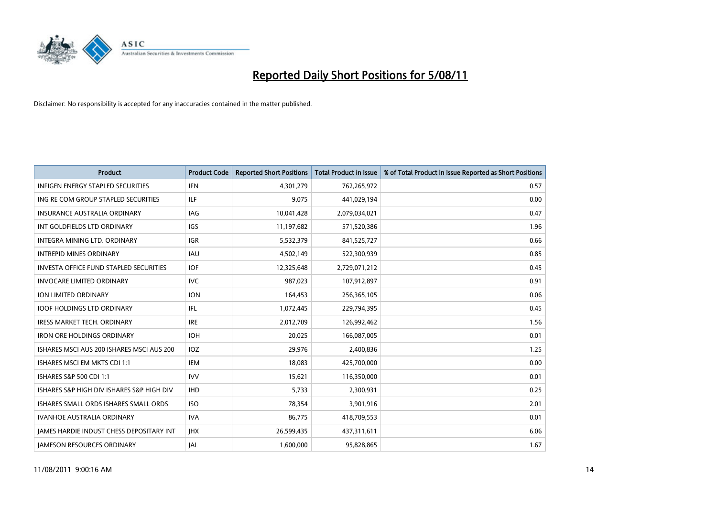

| <b>Product</b>                                  | <b>Product Code</b> | <b>Reported Short Positions</b> | <b>Total Product in Issue</b> | % of Total Product in Issue Reported as Short Positions |
|-------------------------------------------------|---------------------|---------------------------------|-------------------------------|---------------------------------------------------------|
| <b>INFIGEN ENERGY STAPLED SECURITIES</b>        | <b>IFN</b>          | 4,301,279                       | 762,265,972                   | 0.57                                                    |
| ING RE COM GROUP STAPLED SECURITIES             | ILF                 | 9,075                           | 441,029,194                   | 0.00                                                    |
| <b>INSURANCE AUSTRALIA ORDINARY</b>             | <b>IAG</b>          | 10,041,428                      | 2,079,034,021                 | 0.47                                                    |
| INT GOLDFIELDS LTD ORDINARY                     | <b>IGS</b>          | 11,197,682                      | 571,520,386                   | 1.96                                                    |
| INTEGRA MINING LTD. ORDINARY                    | <b>IGR</b>          | 5,532,379                       | 841,525,727                   | 0.66                                                    |
| <b>INTREPID MINES ORDINARY</b>                  | <b>IAU</b>          | 4,502,149                       | 522,300,939                   | 0.85                                                    |
| <b>INVESTA OFFICE FUND STAPLED SECURITIES</b>   | <b>IOF</b>          | 12,325,648                      | 2,729,071,212                 | 0.45                                                    |
| <b>INVOCARE LIMITED ORDINARY</b>                | <b>IVC</b>          | 987,023                         | 107,912,897                   | 0.91                                                    |
| ION LIMITED ORDINARY                            | <b>ION</b>          | 164,453                         | 256,365,105                   | 0.06                                                    |
| <b>IOOF HOLDINGS LTD ORDINARY</b>               | IFL.                | 1,072,445                       | 229,794,395                   | 0.45                                                    |
| IRESS MARKET TECH. ORDINARY                     | <b>IRE</b>          | 2,012,709                       | 126,992,462                   | 1.56                                                    |
| <b>IRON ORE HOLDINGS ORDINARY</b>               | <b>IOH</b>          | 20,025                          | 166,087,005                   | 0.01                                                    |
| ISHARES MSCI AUS 200 ISHARES MSCI AUS 200       | IOZ                 | 29,976                          | 2,400,836                     | 1.25                                                    |
| ISHARES MSCI EM MKTS CDI 1:1                    | <b>IEM</b>          | 18,083                          | 425,700,000                   | 0.00                                                    |
| ISHARES S&P 500 CDI 1:1                         | <b>IVV</b>          | 15,621                          | 116,350,000                   | 0.01                                                    |
| ISHARES S&P HIGH DIV ISHARES S&P HIGH DIV       | <b>IHD</b>          | 5,733                           | 2,300,931                     | 0.25                                                    |
| ISHARES SMALL ORDS ISHARES SMALL ORDS           | <b>ISO</b>          | 78,354                          | 3,901,916                     | 2.01                                                    |
| <b>IVANHOE AUSTRALIA ORDINARY</b>               | <b>IVA</b>          | 86,775                          | 418,709,553                   | 0.01                                                    |
| <b>IAMES HARDIE INDUST CHESS DEPOSITARY INT</b> | <b>IHX</b>          | 26,599,435                      | 437,311,611                   | 6.06                                                    |
| <b>JAMESON RESOURCES ORDINARY</b>               | IAL                 | 1,600,000                       | 95,828,865                    | 1.67                                                    |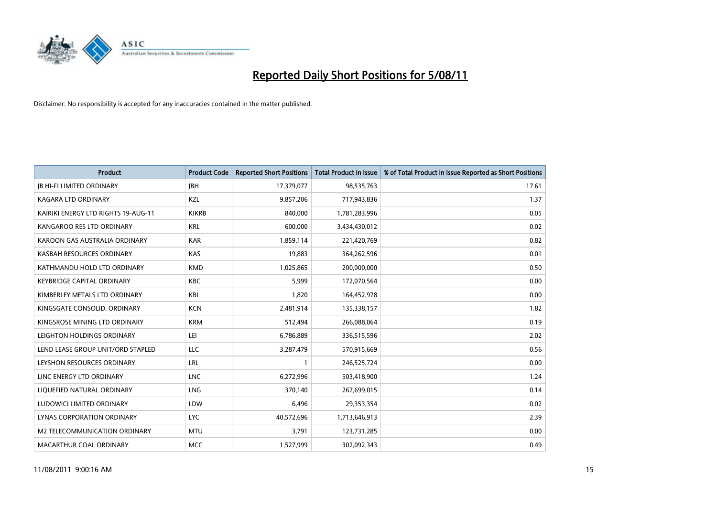

| <b>Product</b>                      | <b>Product Code</b> | <b>Reported Short Positions</b> | <b>Total Product in Issue</b> | % of Total Product in Issue Reported as Short Positions |
|-------------------------------------|---------------------|---------------------------------|-------------------------------|---------------------------------------------------------|
| <b>JB HI-FI LIMITED ORDINARY</b>    | <b>IBH</b>          | 17,379,077                      | 98,535,763                    | 17.61                                                   |
| KAGARA LTD ORDINARY                 | KZL                 | 9,857,206                       | 717,943,836                   | 1.37                                                    |
| KAIRIKI ENERGY LTD RIGHTS 19-AUG-11 | <b>KIKRB</b>        | 840,000                         | 1,781,283,996                 | 0.05                                                    |
| KANGAROO RES LTD ORDINARY           | <b>KRL</b>          | 600,000                         | 3,434,430,012                 | 0.02                                                    |
| KAROON GAS AUSTRALIA ORDINARY       | <b>KAR</b>          | 1,859,114                       | 221,420,769                   | 0.82                                                    |
| KASBAH RESOURCES ORDINARY           | KAS                 | 19,883                          | 364,262,596                   | 0.01                                                    |
| KATHMANDU HOLD LTD ORDINARY         | <b>KMD</b>          | 1,025,865                       | 200,000,000                   | 0.50                                                    |
| <b>KEYBRIDGE CAPITAL ORDINARY</b>   | <b>KBC</b>          | 5,999                           | 172,070,564                   | 0.00                                                    |
| KIMBERLEY METALS LTD ORDINARY       | <b>KBL</b>          | 1,820                           | 164,452,978                   | 0.00                                                    |
| KINGSGATE CONSOLID. ORDINARY        | <b>KCN</b>          | 2,481,914                       | 135,338,157                   | 1.82                                                    |
| KINGSROSE MINING LTD ORDINARY       | <b>KRM</b>          | 512,494                         | 266,088,064                   | 0.19                                                    |
| LEIGHTON HOLDINGS ORDINARY          | LEI                 | 6,786,889                       | 336,515,596                   | 2.02                                                    |
| LEND LEASE GROUP UNIT/ORD STAPLED   | LLC                 | 3,287,479                       | 570,915,669                   | 0.56                                                    |
| LEYSHON RESOURCES ORDINARY          | <b>LRL</b>          |                                 | 246,525,724                   | 0.00                                                    |
| LINC ENERGY LTD ORDINARY            | <b>LNC</b>          | 6,272,996                       | 503,418,900                   | 1.24                                                    |
| LIQUEFIED NATURAL ORDINARY          | LNG                 | 370.140                         | 267,699,015                   | 0.14                                                    |
| LUDOWICI LIMITED ORDINARY           | LDW                 | 6,496                           | 29,353,354                    | 0.02                                                    |
| LYNAS CORPORATION ORDINARY          | <b>LYC</b>          | 40,572,696                      | 1,713,646,913                 | 2.39                                                    |
| M2 TELECOMMUNICATION ORDINARY       | <b>MTU</b>          | 3,791                           | 123,731,285                   | 0.00                                                    |
| MACARTHUR COAL ORDINARY             | <b>MCC</b>          | 1,527,999                       | 302,092,343                   | 0.49                                                    |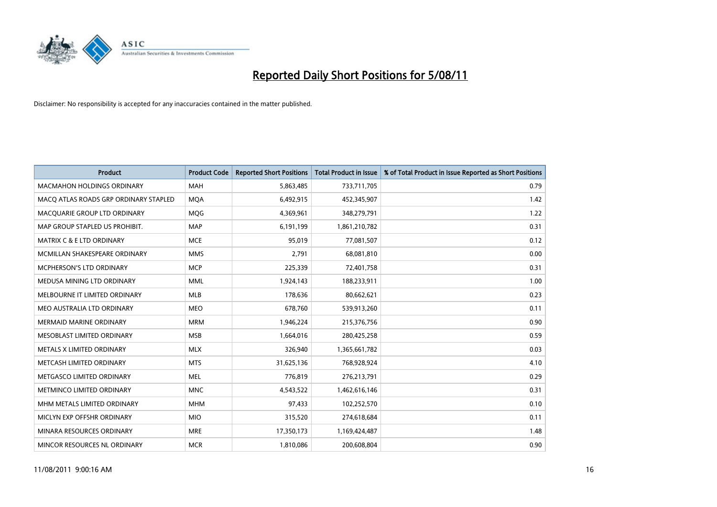

| <b>Product</b>                        | <b>Product Code</b> | <b>Reported Short Positions</b> | <b>Total Product in Issue</b> | % of Total Product in Issue Reported as Short Positions |
|---------------------------------------|---------------------|---------------------------------|-------------------------------|---------------------------------------------------------|
| <b>MACMAHON HOLDINGS ORDINARY</b>     | <b>MAH</b>          | 5,863,485                       | 733,711,705                   | 0.79                                                    |
| MACQ ATLAS ROADS GRP ORDINARY STAPLED | <b>MOA</b>          | 6,492,915                       | 452,345,907                   | 1.42                                                    |
| MACQUARIE GROUP LTD ORDINARY          | MQG                 | 4,369,961                       | 348,279,791                   | 1.22                                                    |
| MAP GROUP STAPLED US PROHIBIT.        | <b>MAP</b>          | 6,191,199                       | 1,861,210,782                 | 0.31                                                    |
| <b>MATRIX C &amp; E LTD ORDINARY</b>  | <b>MCE</b>          | 95,019                          | 77,081,507                    | 0.12                                                    |
| MCMILLAN SHAKESPEARE ORDINARY         | <b>MMS</b>          | 2,791                           | 68,081,810                    | 0.00                                                    |
| MCPHERSON'S LTD ORDINARY              | <b>MCP</b>          | 225,339                         | 72,401,758                    | 0.31                                                    |
| MEDUSA MINING LTD ORDINARY            | <b>MML</b>          | 1,924,143                       | 188,233,911                   | 1.00                                                    |
| MELBOURNE IT LIMITED ORDINARY         | MLB                 | 178,636                         | 80,662,621                    | 0.23                                                    |
| MEO AUSTRALIA LTD ORDINARY            | <b>MEO</b>          | 678,760                         | 539,913,260                   | 0.11                                                    |
| <b>MERMAID MARINE ORDINARY</b>        | <b>MRM</b>          | 1,946,224                       | 215,376,756                   | 0.90                                                    |
| MESOBLAST LIMITED ORDINARY            | <b>MSB</b>          | 1,664,016                       | 280,425,258                   | 0.59                                                    |
| METALS X LIMITED ORDINARY             | <b>MLX</b>          | 326,940                         | 1,365,661,782                 | 0.03                                                    |
| METCASH LIMITED ORDINARY              | <b>MTS</b>          | 31,625,136                      | 768,928,924                   | 4.10                                                    |
| METGASCO LIMITED ORDINARY             | <b>MEL</b>          | 776,819                         | 276,213,791                   | 0.29                                                    |
| METMINCO LIMITED ORDINARY             | <b>MNC</b>          | 4,543,522                       | 1,462,616,146                 | 0.31                                                    |
| MHM METALS LIMITED ORDINARY           | <b>MHM</b>          | 97,433                          | 102,252,570                   | 0.10                                                    |
| MICLYN EXP OFFSHR ORDINARY            | <b>MIO</b>          | 315,520                         | 274,618,684                   | 0.11                                                    |
| MINARA RESOURCES ORDINARY             | <b>MRE</b>          | 17,350,173                      | 1,169,424,487                 | 1.48                                                    |
| MINCOR RESOURCES NL ORDINARY          | <b>MCR</b>          | 1,810,086                       | 200,608,804                   | 0.90                                                    |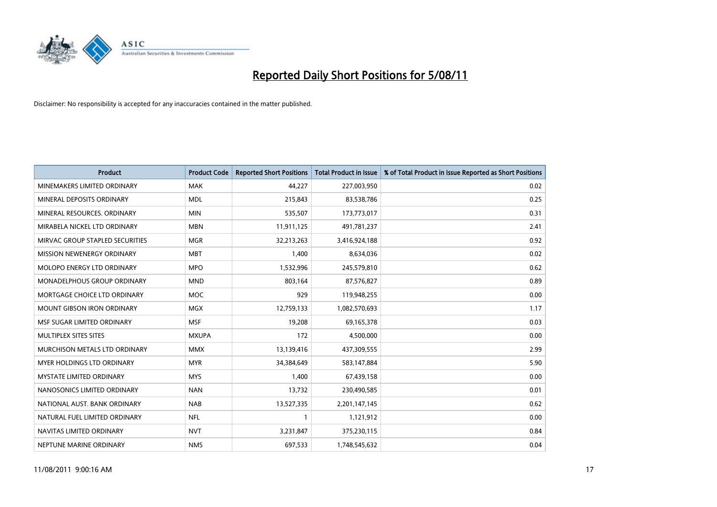

| <b>Product</b>                    | <b>Product Code</b> | <b>Reported Short Positions</b> | Total Product in Issue | % of Total Product in Issue Reported as Short Positions |
|-----------------------------------|---------------------|---------------------------------|------------------------|---------------------------------------------------------|
| MINEMAKERS LIMITED ORDINARY       | <b>MAK</b>          | 44,227                          | 227,003,950            | 0.02                                                    |
| MINERAL DEPOSITS ORDINARY         | <b>MDL</b>          | 215,843                         | 83,538,786             | 0.25                                                    |
| MINERAL RESOURCES, ORDINARY       | <b>MIN</b>          | 535,507                         | 173,773,017            | 0.31                                                    |
| MIRABELA NICKEL LTD ORDINARY      | <b>MBN</b>          | 11,911,125                      | 491,781,237            | 2.41                                                    |
| MIRVAC GROUP STAPLED SECURITIES   | <b>MGR</b>          | 32,213,263                      | 3,416,924,188          | 0.92                                                    |
| MISSION NEWENERGY ORDINARY        | <b>MBT</b>          | 1,400                           | 8,634,036              | 0.02                                                    |
| <b>MOLOPO ENERGY LTD ORDINARY</b> | <b>MPO</b>          | 1,532,996                       | 245,579,810            | 0.62                                                    |
| MONADELPHOUS GROUP ORDINARY       | <b>MND</b>          | 803,164                         | 87,576,827             | 0.89                                                    |
| MORTGAGE CHOICE LTD ORDINARY      | <b>MOC</b>          | 929                             | 119,948,255            | 0.00                                                    |
| <b>MOUNT GIBSON IRON ORDINARY</b> | <b>MGX</b>          | 12,759,133                      | 1,082,570,693          | 1.17                                                    |
| MSF SUGAR LIMITED ORDINARY        | <b>MSF</b>          | 19,208                          | 69,165,378             | 0.03                                                    |
| MULTIPLEX SITES SITES             | <b>MXUPA</b>        | 172                             | 4,500,000              | 0.00                                                    |
| MURCHISON METALS LTD ORDINARY     | <b>MMX</b>          | 13,139,416                      | 437,309,555            | 2.99                                                    |
| <b>MYER HOLDINGS LTD ORDINARY</b> | <b>MYR</b>          | 34,384,649                      | 583,147,884            | 5.90                                                    |
| <b>MYSTATE LIMITED ORDINARY</b>   | <b>MYS</b>          | 1,400                           | 67,439,158             | 0.00                                                    |
| NANOSONICS LIMITED ORDINARY       | <b>NAN</b>          | 13,732                          | 230,490,585            | 0.01                                                    |
| NATIONAL AUST. BANK ORDINARY      | <b>NAB</b>          | 13,527,335                      | 2,201,147,145          | 0.62                                                    |
| NATURAL FUEL LIMITED ORDINARY     | <b>NFL</b>          |                                 | 1,121,912              | 0.00                                                    |
| NAVITAS LIMITED ORDINARY          | <b>NVT</b>          | 3,231,847                       | 375,230,115            | 0.84                                                    |
| NEPTUNE MARINE ORDINARY           | <b>NMS</b>          | 697,533                         | 1,748,545,632          | 0.04                                                    |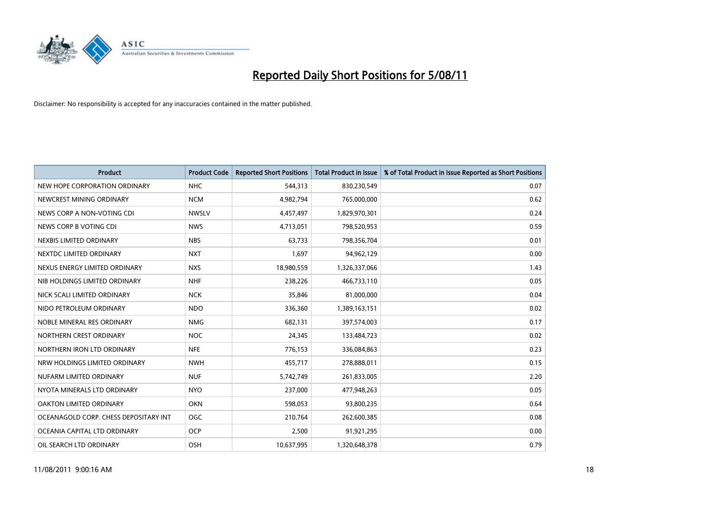

| <b>Product</b>                        | <b>Product Code</b> | <b>Reported Short Positions</b> | Total Product in Issue | % of Total Product in Issue Reported as Short Positions |
|---------------------------------------|---------------------|---------------------------------|------------------------|---------------------------------------------------------|
| NEW HOPE CORPORATION ORDINARY         | <b>NHC</b>          | 544,313                         | 830,230,549            | 0.07                                                    |
| NEWCREST MINING ORDINARY              | <b>NCM</b>          | 4,982,794                       | 765,000,000            | 0.62                                                    |
| NEWS CORP A NON-VOTING CDI            | <b>NWSLV</b>        | 4,457,497                       | 1,829,970,301          | 0.24                                                    |
| NEWS CORP B VOTING CDI                | <b>NWS</b>          | 4,713,051                       | 798,520,953            | 0.59                                                    |
| NEXBIS LIMITED ORDINARY               | <b>NBS</b>          | 63,733                          | 798,356,704            | 0.01                                                    |
| NEXTDC LIMITED ORDINARY               | <b>NXT</b>          | 1,697                           | 94,962,129             | 0.00                                                    |
| NEXUS ENERGY LIMITED ORDINARY         | <b>NXS</b>          | 18,980,559                      | 1,326,337,066          | 1.43                                                    |
| NIB HOLDINGS LIMITED ORDINARY         | <b>NHF</b>          | 238,226                         | 466,733,110            | 0.05                                                    |
| NICK SCALI LIMITED ORDINARY           | <b>NCK</b>          | 35,846                          | 81,000,000             | 0.04                                                    |
| NIDO PETROLEUM ORDINARY               | <b>NDO</b>          | 336,360                         | 1,389,163,151          | 0.02                                                    |
| NOBLE MINERAL RES ORDINARY            | <b>NMG</b>          | 682,131                         | 397,574,003            | 0.17                                                    |
| NORTHERN CREST ORDINARY               | <b>NOC</b>          | 24,345                          | 133,484,723            | 0.02                                                    |
| NORTHERN IRON LTD ORDINARY            | <b>NFE</b>          | 776,153                         | 336,084,863            | 0.23                                                    |
| NRW HOLDINGS LIMITED ORDINARY         | <b>NWH</b>          | 455,717                         | 278,888,011            | 0.15                                                    |
| NUFARM LIMITED ORDINARY               | <b>NUF</b>          | 5,742,749                       | 261,833,005            | 2.20                                                    |
| NYOTA MINERALS LTD ORDINARY           | <b>NYO</b>          | 237,000                         | 477,948,263            | 0.05                                                    |
| OAKTON LIMITED ORDINARY               | <b>OKN</b>          | 598,053                         | 93,800,235             | 0.64                                                    |
| OCEANAGOLD CORP. CHESS DEPOSITARY INT | <b>OGC</b>          | 210,764                         | 262,600,385            | 0.08                                                    |
| OCEANIA CAPITAL LTD ORDINARY          | <b>OCP</b>          | 2,500                           | 91,921,295             | 0.00                                                    |
| OIL SEARCH LTD ORDINARY               | <b>OSH</b>          | 10,637,995                      | 1,320,648,378          | 0.79                                                    |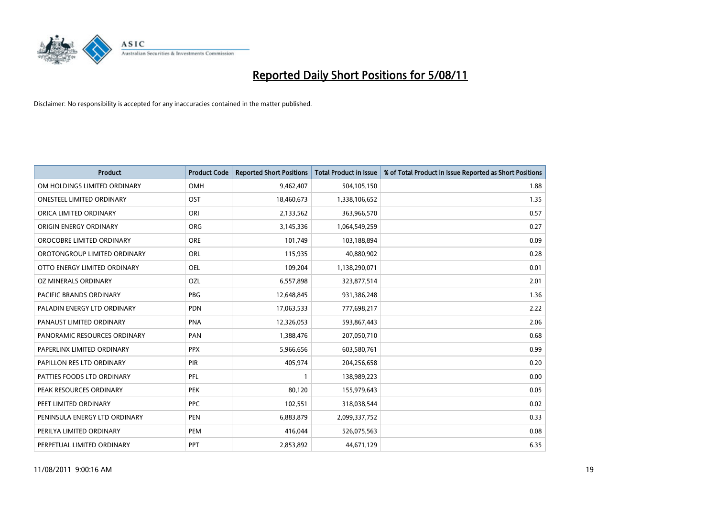

| <b>Product</b>                | <b>Product Code</b> | <b>Reported Short Positions</b> | <b>Total Product in Issue</b> | % of Total Product in Issue Reported as Short Positions |
|-------------------------------|---------------------|---------------------------------|-------------------------------|---------------------------------------------------------|
| OM HOLDINGS LIMITED ORDINARY  | OMH                 | 9,462,407                       | 504,105,150                   | 1.88                                                    |
| ONESTEEL LIMITED ORDINARY     | OST                 | 18,460,673                      | 1,338,106,652                 | 1.35                                                    |
| ORICA LIMITED ORDINARY        | ORI                 | 2,133,562                       | 363,966,570                   | 0.57                                                    |
| ORIGIN ENERGY ORDINARY        | <b>ORG</b>          | 3,145,336                       | 1,064,549,259                 | 0.27                                                    |
| OROCOBRE LIMITED ORDINARY     | <b>ORE</b>          | 101,749                         | 103,188,894                   | 0.09                                                    |
| OROTONGROUP LIMITED ORDINARY  | ORL                 | 115,935                         | 40,880,902                    | 0.28                                                    |
| OTTO ENERGY LIMITED ORDINARY  | <b>OEL</b>          | 109,204                         | 1,138,290,071                 | 0.01                                                    |
| OZ MINERALS ORDINARY          | OZL                 | 6,557,898                       | 323,877,514                   | 2.01                                                    |
| PACIFIC BRANDS ORDINARY       | <b>PBG</b>          | 12,648,845                      | 931,386,248                   | 1.36                                                    |
| PALADIN ENERGY LTD ORDINARY   | <b>PDN</b>          | 17,063,533                      | 777,698,217                   | 2.22                                                    |
| PANAUST LIMITED ORDINARY      | PNA                 | 12,326,053                      | 593,867,443                   | 2.06                                                    |
| PANORAMIC RESOURCES ORDINARY  | PAN                 | 1,388,476                       | 207,050,710                   | 0.68                                                    |
| PAPERLINX LIMITED ORDINARY    | <b>PPX</b>          | 5,966,656                       | 603,580,761                   | 0.99                                                    |
| PAPILLON RES LTD ORDINARY     | PIR                 | 405,974                         | 204,256,658                   | 0.20                                                    |
| PATTIES FOODS LTD ORDINARY    | PFL                 |                                 | 138,989,223                   | 0.00                                                    |
| PEAK RESOURCES ORDINARY       | <b>PEK</b>          | 80,120                          | 155,979,643                   | 0.05                                                    |
| PEET LIMITED ORDINARY         | <b>PPC</b>          | 102,551                         | 318,038,544                   | 0.02                                                    |
| PENINSULA ENERGY LTD ORDINARY | <b>PEN</b>          | 6,883,879                       | 2,099,337,752                 | 0.33                                                    |
| PERILYA LIMITED ORDINARY      | PEM                 | 416,044                         | 526,075,563                   | 0.08                                                    |
| PERPETUAL LIMITED ORDINARY    | PPT                 | 2,853,892                       | 44,671,129                    | 6.35                                                    |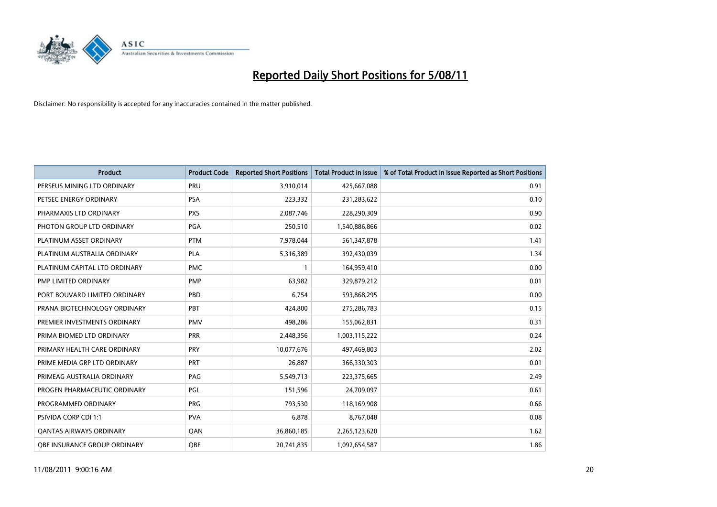

| <b>Product</b>                 | <b>Product Code</b> | <b>Reported Short Positions</b> | <b>Total Product in Issue</b> | % of Total Product in Issue Reported as Short Positions |
|--------------------------------|---------------------|---------------------------------|-------------------------------|---------------------------------------------------------|
| PERSEUS MINING LTD ORDINARY    | PRU                 | 3,910,014                       | 425,667,088                   | 0.91                                                    |
| PETSEC ENERGY ORDINARY         | <b>PSA</b>          | 223,332                         | 231,283,622                   | 0.10                                                    |
| PHARMAXIS LTD ORDINARY         | <b>PXS</b>          | 2,087,746                       | 228,290,309                   | 0.90                                                    |
| PHOTON GROUP LTD ORDINARY      | PGA                 | 250,510                         | 1,540,886,866                 | 0.02                                                    |
| PLATINUM ASSET ORDINARY        | <b>PTM</b>          | 7,978,044                       | 561,347,878                   | 1.41                                                    |
| PLATINUM AUSTRALIA ORDINARY    | PLA                 | 5,316,389                       | 392,430,039                   | 1.34                                                    |
| PLATINUM CAPITAL LTD ORDINARY  | <b>PMC</b>          |                                 | 164,959,410                   | 0.00                                                    |
| PMP LIMITED ORDINARY           | <b>PMP</b>          | 63,982                          | 329,879,212                   | 0.01                                                    |
| PORT BOUVARD LIMITED ORDINARY  | PBD                 | 6,754                           | 593,868,295                   | 0.00                                                    |
| PRANA BIOTECHNOLOGY ORDINARY   | PBT                 | 424,800                         | 275,286,783                   | 0.15                                                    |
| PREMIER INVESTMENTS ORDINARY   | <b>PMV</b>          | 498,286                         | 155,062,831                   | 0.31                                                    |
| PRIMA BIOMED LTD ORDINARY      | PRR                 | 2,448,356                       | 1,003,115,222                 | 0.24                                                    |
| PRIMARY HEALTH CARE ORDINARY   | <b>PRY</b>          | 10,077,676                      | 497,469,803                   | 2.02                                                    |
| PRIME MEDIA GRP LTD ORDINARY   | PRT                 | 26.887                          | 366,330,303                   | 0.01                                                    |
| PRIMEAG AUSTRALIA ORDINARY     | PAG                 | 5,549,713                       | 223,375,665                   | 2.49                                                    |
| PROGEN PHARMACEUTIC ORDINARY   | PGL                 | 151,596                         | 24,709,097                    | 0.61                                                    |
| PROGRAMMED ORDINARY            | <b>PRG</b>          | 793,530                         | 118,169,908                   | 0.66                                                    |
| PSIVIDA CORP CDI 1:1           | <b>PVA</b>          | 6,878                           | 8,767,048                     | 0.08                                                    |
| <b>OANTAS AIRWAYS ORDINARY</b> | QAN                 | 36,860,185                      | 2,265,123,620                 | 1.62                                                    |
| OBE INSURANCE GROUP ORDINARY   | <b>QBE</b>          | 20,741,835                      | 1,092,654,587                 | 1.86                                                    |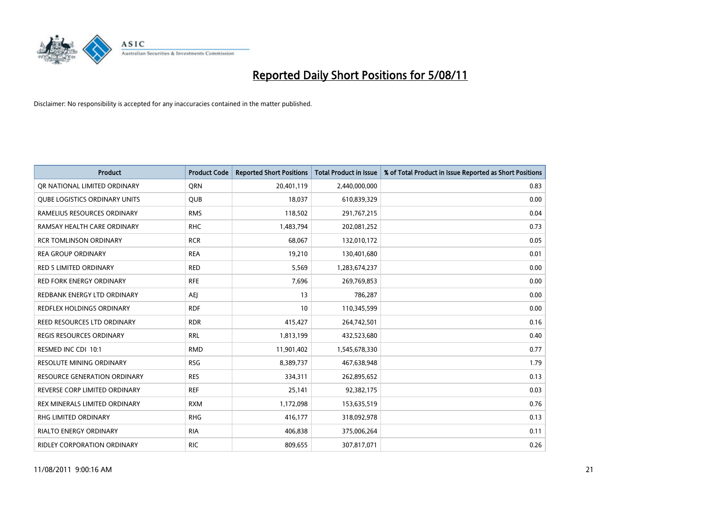

| <b>Product</b>                      | <b>Product Code</b> | <b>Reported Short Positions</b> | <b>Total Product in Issue</b> | % of Total Product in Issue Reported as Short Positions |
|-------------------------------------|---------------------|---------------------------------|-------------------------------|---------------------------------------------------------|
| OR NATIONAL LIMITED ORDINARY        | <b>ORN</b>          | 20,401,119                      | 2,440,000,000                 | 0.83                                                    |
| QUBE LOGISTICS ORDINARY UNITS       | <b>OUB</b>          | 18,037                          | 610,839,329                   | 0.00                                                    |
| RAMELIUS RESOURCES ORDINARY         | <b>RMS</b>          | 118,502                         | 291,767,215                   | 0.04                                                    |
| RAMSAY HEALTH CARE ORDINARY         | <b>RHC</b>          | 1,483,794                       | 202,081,252                   | 0.73                                                    |
| <b>RCR TOMLINSON ORDINARY</b>       | <b>RCR</b>          | 68.067                          | 132,010,172                   | 0.05                                                    |
| <b>REA GROUP ORDINARY</b>           | <b>REA</b>          | 19,210                          | 130,401,680                   | 0.01                                                    |
| <b>RED 5 LIMITED ORDINARY</b>       | <b>RED</b>          | 5,569                           | 1,283,674,237                 | 0.00                                                    |
| <b>RED FORK ENERGY ORDINARY</b>     | <b>RFE</b>          | 7,696                           | 269,769,853                   | 0.00                                                    |
| REDBANK ENERGY LTD ORDINARY         | AEJ                 | 13                              | 786,287                       | 0.00                                                    |
| <b>REDFLEX HOLDINGS ORDINARY</b>    | <b>RDF</b>          | 10                              | 110,345,599                   | 0.00                                                    |
| REED RESOURCES LTD ORDINARY         | <b>RDR</b>          | 415,427                         | 264,742,501                   | 0.16                                                    |
| <b>REGIS RESOURCES ORDINARY</b>     | <b>RRL</b>          | 1,813,199                       | 432,523,680                   | 0.40                                                    |
| RESMED INC CDI 10:1                 | <b>RMD</b>          | 11,901,402                      | 1,545,678,330                 | 0.77                                                    |
| <b>RESOLUTE MINING ORDINARY</b>     | <b>RSG</b>          | 8,389,737                       | 467,638,948                   | 1.79                                                    |
| <b>RESOURCE GENERATION ORDINARY</b> | <b>RES</b>          | 334,311                         | 262,895,652                   | 0.13                                                    |
| REVERSE CORP LIMITED ORDINARY       | <b>REF</b>          | 25,141                          | 92,382,175                    | 0.03                                                    |
| REX MINERALS LIMITED ORDINARY       | <b>RXM</b>          | 1,172,098                       | 153,635,519                   | 0.76                                                    |
| <b>RHG LIMITED ORDINARY</b>         | <b>RHG</b>          | 416,177                         | 318,092,978                   | 0.13                                                    |
| <b>RIALTO ENERGY ORDINARY</b>       | <b>RIA</b>          | 406,838                         | 375,006,264                   | 0.11                                                    |
| <b>RIDLEY CORPORATION ORDINARY</b>  | <b>RIC</b>          | 809,655                         | 307,817,071                   | 0.26                                                    |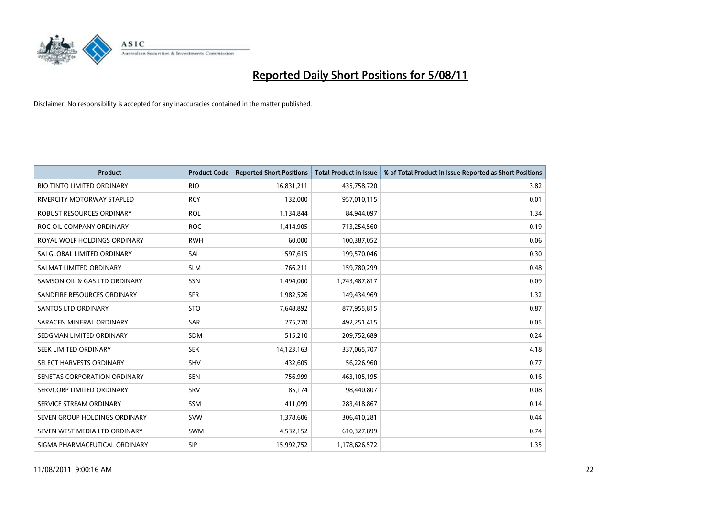

| <b>Product</b>                | <b>Product Code</b> | <b>Reported Short Positions</b> | <b>Total Product in Issue</b> | % of Total Product in Issue Reported as Short Positions |
|-------------------------------|---------------------|---------------------------------|-------------------------------|---------------------------------------------------------|
| RIO TINTO LIMITED ORDINARY    | <b>RIO</b>          | 16,831,211                      | 435,758,720                   | 3.82                                                    |
| RIVERCITY MOTORWAY STAPLED    | <b>RCY</b>          | 132,000                         | 957,010,115                   | 0.01                                                    |
| ROBUST RESOURCES ORDINARY     | <b>ROL</b>          | 1,134,844                       | 84,944,097                    | 1.34                                                    |
| ROC OIL COMPANY ORDINARY      | <b>ROC</b>          | 1,414,905                       | 713,254,560                   | 0.19                                                    |
| ROYAL WOLF HOLDINGS ORDINARY  | <b>RWH</b>          | 60,000                          | 100,387,052                   | 0.06                                                    |
| SAI GLOBAL LIMITED ORDINARY   | SAI                 | 597,615                         | 199,570,046                   | 0.30                                                    |
| SALMAT LIMITED ORDINARY       | <b>SLM</b>          | 766,211                         | 159,780,299                   | 0.48                                                    |
| SAMSON OIL & GAS LTD ORDINARY | SSN                 | 1,494,000                       | 1,743,487,817                 | 0.09                                                    |
| SANDFIRE RESOURCES ORDINARY   | <b>SFR</b>          | 1,982,526                       | 149,434,969                   | 1.32                                                    |
| <b>SANTOS LTD ORDINARY</b>    | <b>STO</b>          | 7,648,892                       | 877,955,815                   | 0.87                                                    |
| SARACEN MINERAL ORDINARY      | <b>SAR</b>          | 275,770                         | 492,251,415                   | 0.05                                                    |
| SEDGMAN LIMITED ORDINARY      | <b>SDM</b>          | 515,210                         | 209,752,689                   | 0.24                                                    |
| <b>SEEK LIMITED ORDINARY</b>  | <b>SEK</b>          | 14,123,163                      | 337,065,707                   | 4.18                                                    |
| SELECT HARVESTS ORDINARY      | <b>SHV</b>          | 432,605                         | 56,226,960                    | 0.77                                                    |
| SENETAS CORPORATION ORDINARY  | <b>SEN</b>          | 756,999                         | 463,105,195                   | 0.16                                                    |
| SERVCORP LIMITED ORDINARY     | SRV                 | 85,174                          | 98,440,807                    | 0.08                                                    |
| SERVICE STREAM ORDINARY       | <b>SSM</b>          | 411,099                         | 283,418,867                   | 0.14                                                    |
| SEVEN GROUP HOLDINGS ORDINARY | <b>SVW</b>          | 1,378,606                       | 306,410,281                   | 0.44                                                    |
| SEVEN WEST MEDIA LTD ORDINARY | <b>SWM</b>          | 4,532,152                       | 610,327,899                   | 0.74                                                    |
| SIGMA PHARMACEUTICAL ORDINARY | SIP                 | 15,992,752                      | 1,178,626,572                 | 1.35                                                    |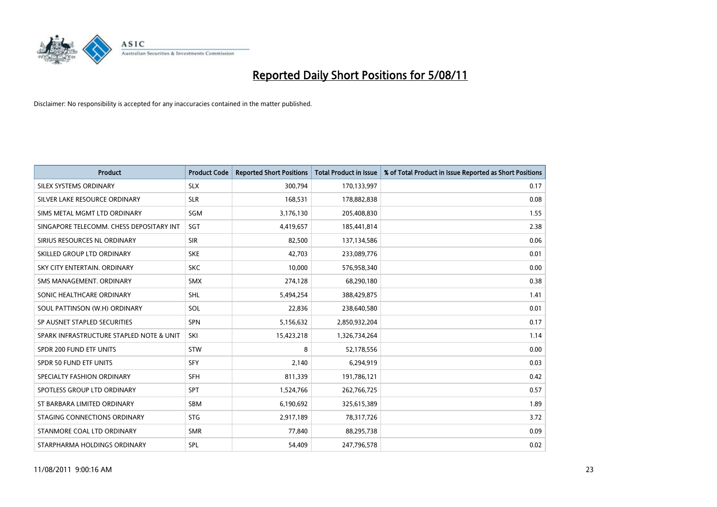

| <b>Product</b>                           | <b>Product Code</b> | <b>Reported Short Positions</b> | <b>Total Product in Issue</b> | % of Total Product in Issue Reported as Short Positions |
|------------------------------------------|---------------------|---------------------------------|-------------------------------|---------------------------------------------------------|
| SILEX SYSTEMS ORDINARY                   | <b>SLX</b>          | 300,794                         | 170,133,997                   | 0.17                                                    |
| SILVER LAKE RESOURCE ORDINARY            | <b>SLR</b>          | 168,531                         | 178,882,838                   | 0.08                                                    |
| SIMS METAL MGMT LTD ORDINARY             | SGM                 | 3,176,130                       | 205,408,830                   | 1.55                                                    |
| SINGAPORE TELECOMM. CHESS DEPOSITARY INT | SGT                 | 4,419,657                       | 185,441,814                   | 2.38                                                    |
| SIRIUS RESOURCES NL ORDINARY             | <b>SIR</b>          | 82,500                          | 137,134,586                   | 0.06                                                    |
| SKILLED GROUP LTD ORDINARY               | <b>SKE</b>          | 42,703                          | 233,089,776                   | 0.01                                                    |
| SKY CITY ENTERTAIN, ORDINARY             | <b>SKC</b>          | 10.000                          | 576,958,340                   | 0.00                                                    |
| SMS MANAGEMENT, ORDINARY                 | <b>SMX</b>          | 274,128                         | 68,290,180                    | 0.38                                                    |
| SONIC HEALTHCARE ORDINARY                | <b>SHL</b>          | 5,494,254                       | 388,429,875                   | 1.41                                                    |
| SOUL PATTINSON (W.H) ORDINARY            | SOL                 | 22.836                          | 238,640,580                   | 0.01                                                    |
| SP AUSNET STAPLED SECURITIES             | <b>SPN</b>          | 5,156,632                       | 2,850,932,204                 | 0.17                                                    |
| SPARK INFRASTRUCTURE STAPLED NOTE & UNIT | SKI                 | 15,423,218                      | 1,326,734,264                 | 1.14                                                    |
| SPDR 200 FUND ETF UNITS                  | <b>STW</b>          | 8                               | 52,178,556                    | 0.00                                                    |
| <b>SPDR 50 FUND ETF UNITS</b>            | <b>SFY</b>          | 2,140                           | 6,294,919                     | 0.03                                                    |
| SPECIALTY FASHION ORDINARY               | <b>SFH</b>          | 811,339                         | 191,786,121                   | 0.42                                                    |
| SPOTLESS GROUP LTD ORDINARY              | <b>SPT</b>          | 1,524,766                       | 262,766,725                   | 0.57                                                    |
| ST BARBARA LIMITED ORDINARY              | <b>SBM</b>          | 6,190,692                       | 325,615,389                   | 1.89                                                    |
| STAGING CONNECTIONS ORDINARY             | <b>STG</b>          | 2,917,189                       | 78,317,726                    | 3.72                                                    |
| STANMORE COAL LTD ORDINARY               | <b>SMR</b>          | 77,840                          | 88,295,738                    | 0.09                                                    |
| STARPHARMA HOLDINGS ORDINARY             | SPL                 | 54,409                          | 247,796,578                   | 0.02                                                    |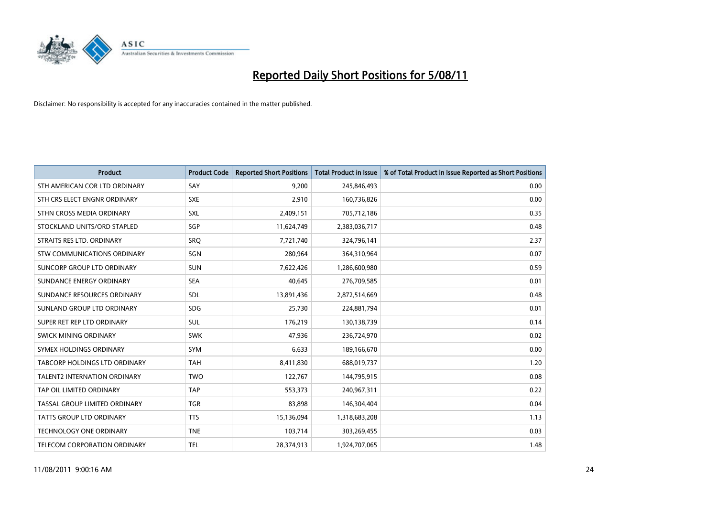

| <b>Product</b>                       | <b>Product Code</b> | <b>Reported Short Positions</b> | <b>Total Product in Issue</b> | % of Total Product in Issue Reported as Short Positions |
|--------------------------------------|---------------------|---------------------------------|-------------------------------|---------------------------------------------------------|
| STH AMERICAN COR LTD ORDINARY        | SAY                 | 9,200                           | 245,846,493                   | 0.00                                                    |
| STH CRS ELECT ENGNR ORDINARY         | <b>SXE</b>          | 2,910                           | 160,736,826                   | 0.00                                                    |
| STHN CROSS MEDIA ORDINARY            | <b>SXL</b>          | 2,409,151                       | 705,712,186                   | 0.35                                                    |
| STOCKLAND UNITS/ORD STAPLED          | SGP                 | 11,624,749                      | 2,383,036,717                 | 0.48                                                    |
| STRAITS RES LTD. ORDINARY            | <b>SRO</b>          | 7,721,740                       | 324,796,141                   | 2.37                                                    |
| <b>STW COMMUNICATIONS ORDINARY</b>   | SGN                 | 280,964                         | 364,310,964                   | 0.07                                                    |
| SUNCORP GROUP LTD ORDINARY           | <b>SUN</b>          | 7,622,426                       | 1,286,600,980                 | 0.59                                                    |
| SUNDANCE ENERGY ORDINARY             | <b>SEA</b>          | 40,645                          | 276,709,585                   | 0.01                                                    |
| SUNDANCE RESOURCES ORDINARY          | <b>SDL</b>          | 13,891,436                      | 2,872,514,669                 | 0.48                                                    |
| SUNLAND GROUP LTD ORDINARY           | <b>SDG</b>          | 25,730                          | 224,881,794                   | 0.01                                                    |
| SUPER RET REP LTD ORDINARY           | <b>SUL</b>          | 176,219                         | 130,138,739                   | 0.14                                                    |
| <b>SWICK MINING ORDINARY</b>         | <b>SWK</b>          | 47,936                          | 236,724,970                   | 0.02                                                    |
| SYMEX HOLDINGS ORDINARY              | SYM                 | 6,633                           | 189,166,670                   | 0.00                                                    |
| <b>TABCORP HOLDINGS LTD ORDINARY</b> | <b>TAH</b>          | 8,411,830                       | 688,019,737                   | 1.20                                                    |
| <b>TALENT2 INTERNATION ORDINARY</b>  | <b>TWO</b>          | 122,767                         | 144,795,915                   | 0.08                                                    |
| TAP OIL LIMITED ORDINARY             | <b>TAP</b>          | 553,373                         | 240,967,311                   | 0.22                                                    |
| TASSAL GROUP LIMITED ORDINARY        | <b>TGR</b>          | 83,898                          | 146,304,404                   | 0.04                                                    |
| TATTS GROUP LTD ORDINARY             | <b>TTS</b>          | 15,136,094                      | 1,318,683,208                 | 1.13                                                    |
| <b>TECHNOLOGY ONE ORDINARY</b>       | <b>TNE</b>          | 103,714                         | 303,269,455                   | 0.03                                                    |
| TELECOM CORPORATION ORDINARY         | <b>TEL</b>          | 28,374,913                      | 1,924,707,065                 | 1.48                                                    |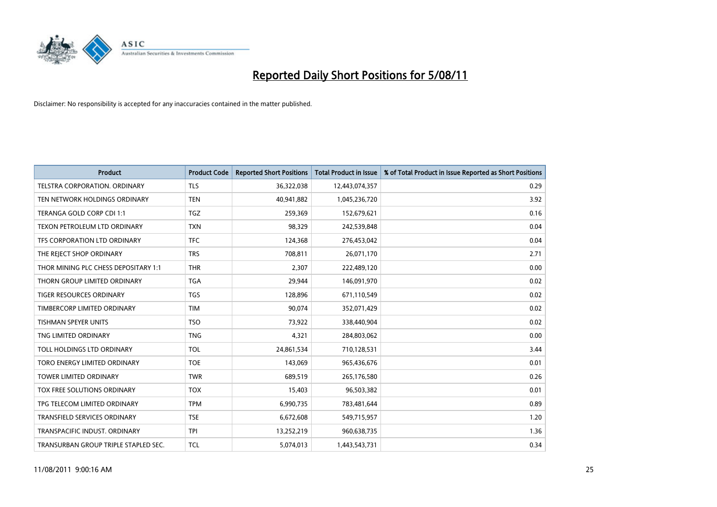

| <b>Product</b>                       | <b>Product Code</b> | <b>Reported Short Positions</b> | <b>Total Product in Issue</b> | % of Total Product in Issue Reported as Short Positions |
|--------------------------------------|---------------------|---------------------------------|-------------------------------|---------------------------------------------------------|
| <b>TELSTRA CORPORATION, ORDINARY</b> | <b>TLS</b>          | 36,322,038                      | 12,443,074,357                | 0.29                                                    |
| TEN NETWORK HOLDINGS ORDINARY        | <b>TEN</b>          | 40,941,882                      | 1,045,236,720                 | 3.92                                                    |
| TERANGA GOLD CORP CDI 1:1            | <b>TGZ</b>          | 259,369                         | 152,679,621                   | 0.16                                                    |
| TEXON PETROLEUM LTD ORDINARY         | <b>TXN</b>          | 98,329                          | 242,539,848                   | 0.04                                                    |
| TFS CORPORATION LTD ORDINARY         | <b>TFC</b>          | 124,368                         | 276,453,042                   | 0.04                                                    |
| THE REJECT SHOP ORDINARY             | <b>TRS</b>          | 708,811                         | 26,071,170                    | 2.71                                                    |
| THOR MINING PLC CHESS DEPOSITARY 1:1 | <b>THR</b>          | 2,307                           | 222,489,120                   | 0.00                                                    |
| THORN GROUP LIMITED ORDINARY         | <b>TGA</b>          | 29,944                          | 146,091,970                   | 0.02                                                    |
| TIGER RESOURCES ORDINARY             | <b>TGS</b>          | 128,896                         | 671,110,549                   | 0.02                                                    |
| TIMBERCORP LIMITED ORDINARY          | <b>TIM</b>          | 90.074                          | 352,071,429                   | 0.02                                                    |
| <b>TISHMAN SPEYER UNITS</b>          | <b>TSO</b>          | 73,922                          | 338,440,904                   | 0.02                                                    |
| TNG LIMITED ORDINARY                 | <b>TNG</b>          | 4,321                           | 284,803,062                   | 0.00                                                    |
| TOLL HOLDINGS LTD ORDINARY           | <b>TOL</b>          | 24,861,534                      | 710,128,531                   | 3.44                                                    |
| TORO ENERGY LIMITED ORDINARY         | <b>TOE</b>          | 143,069                         | 965,436,676                   | 0.01                                                    |
| <b>TOWER LIMITED ORDINARY</b>        | <b>TWR</b>          | 689,519                         | 265,176,580                   | 0.26                                                    |
| <b>TOX FREE SOLUTIONS ORDINARY</b>   | <b>TOX</b>          | 15,403                          | 96,503,382                    | 0.01                                                    |
| TPG TELECOM LIMITED ORDINARY         | <b>TPM</b>          | 6,990,735                       | 783,481,644                   | 0.89                                                    |
| TRANSFIELD SERVICES ORDINARY         | <b>TSE</b>          | 6,672,608                       | 549,715,957                   | 1.20                                                    |
| TRANSPACIFIC INDUST, ORDINARY        | <b>TPI</b>          | 13,252,219                      | 960,638,735                   | 1.36                                                    |
| TRANSURBAN GROUP TRIPLE STAPLED SEC. | <b>TCL</b>          | 5,074,013                       | 1,443,543,731                 | 0.34                                                    |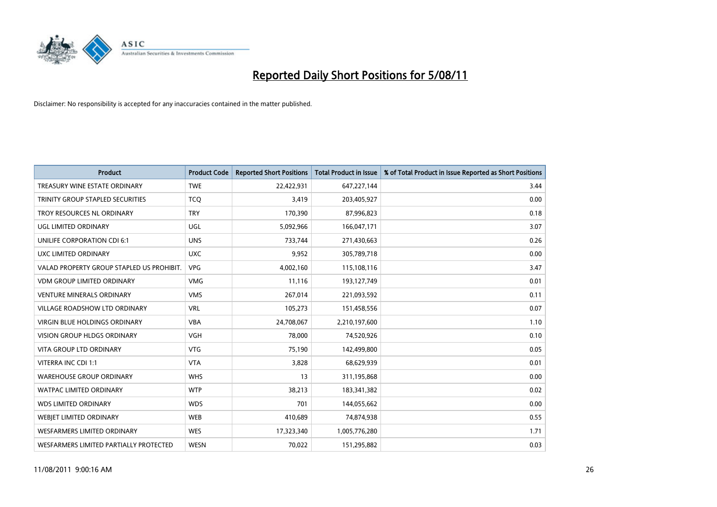

| <b>Product</b>                            | <b>Product Code</b> | <b>Reported Short Positions</b> | <b>Total Product in Issue</b> | % of Total Product in Issue Reported as Short Positions |
|-------------------------------------------|---------------------|---------------------------------|-------------------------------|---------------------------------------------------------|
| TREASURY WINE ESTATE ORDINARY             | <b>TWE</b>          | 22,422,931                      | 647,227,144                   | 3.44                                                    |
| TRINITY GROUP STAPLED SECURITIES          | <b>TCO</b>          | 3,419                           | 203,405,927                   | 0.00                                                    |
| TROY RESOURCES NL ORDINARY                | <b>TRY</b>          | 170,390                         | 87,996,823                    | 0.18                                                    |
| UGL LIMITED ORDINARY                      | <b>UGL</b>          | 5,092,966                       | 166,047,171                   | 3.07                                                    |
| UNILIFE CORPORATION CDI 6:1               | <b>UNS</b>          | 733,744                         | 271,430,663                   | 0.26                                                    |
| UXC LIMITED ORDINARY                      | <b>UXC</b>          | 9,952                           | 305,789,718                   | 0.00                                                    |
| VALAD PROPERTY GROUP STAPLED US PROHIBIT. | <b>VPG</b>          | 4,002,160                       | 115,108,116                   | 3.47                                                    |
| <b>VDM GROUP LIMITED ORDINARY</b>         | <b>VMG</b>          | 11,116                          | 193,127,749                   | 0.01                                                    |
| <b>VENTURE MINERALS ORDINARY</b>          | <b>VMS</b>          | 267,014                         | 221,093,592                   | 0.11                                                    |
| <b>VILLAGE ROADSHOW LTD ORDINARY</b>      | <b>VRL</b>          | 105,273                         | 151,458,556                   | 0.07                                                    |
| VIRGIN BLUE HOLDINGS ORDINARY             | <b>VBA</b>          | 24,708,067                      | 2,210,197,600                 | 1.10                                                    |
| <b>VISION GROUP HLDGS ORDINARY</b>        | <b>VGH</b>          | 78,000                          | 74,520,926                    | 0.10                                                    |
| <b>VITA GROUP LTD ORDINARY</b>            | <b>VTG</b>          | 75,190                          | 142,499,800                   | 0.05                                                    |
| VITERRA INC CDI 1:1                       | <b>VTA</b>          | 3,828                           | 68,629,939                    | 0.01                                                    |
| <b>WAREHOUSE GROUP ORDINARY</b>           | <b>WHS</b>          | 13                              | 311,195,868                   | 0.00                                                    |
| <b>WATPAC LIMITED ORDINARY</b>            | <b>WTP</b>          | 38,213                          | 183,341,382                   | 0.02                                                    |
| <b>WDS LIMITED ORDINARY</b>               | <b>WDS</b>          | 701                             | 144,055,662                   | 0.00                                                    |
| WEBJET LIMITED ORDINARY                   | <b>WEB</b>          | 410,689                         | 74,874,938                    | 0.55                                                    |
| <b>WESFARMERS LIMITED ORDINARY</b>        | <b>WES</b>          | 17,323,340                      | 1,005,776,280                 | 1.71                                                    |
| WESFARMERS LIMITED PARTIALLY PROTECTED    | <b>WESN</b>         | 70,022                          | 151,295,882                   | 0.03                                                    |